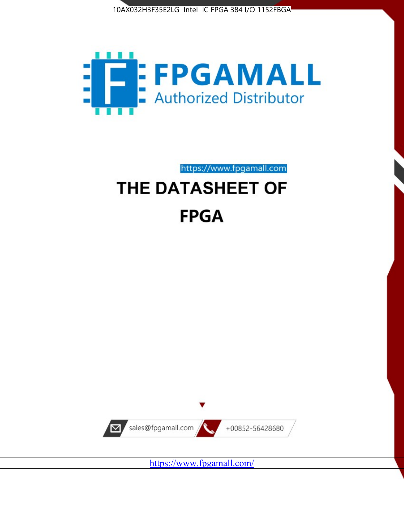



https://www.fpgamall.com THE DATASHEET OF

# **FPGA**



<https://www.fpgamall.com/>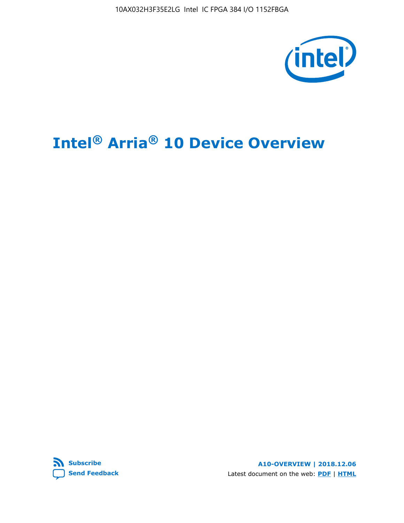10AX032H3F35E2LG Intel IC FPGA 384 I/O 1152FBGA



# **Intel® Arria® 10 Device Overview**



**A10-OVERVIEW | 2018.12.06** Latest document on the web: **[PDF](https://www.intel.com/content/dam/www/programmable/us/en/pdfs/literature/hb/arria-10/a10_overview.pdf)** | **[HTML](https://www.intel.com/content/www/us/en/programmable/documentation/sam1403480274650.html)**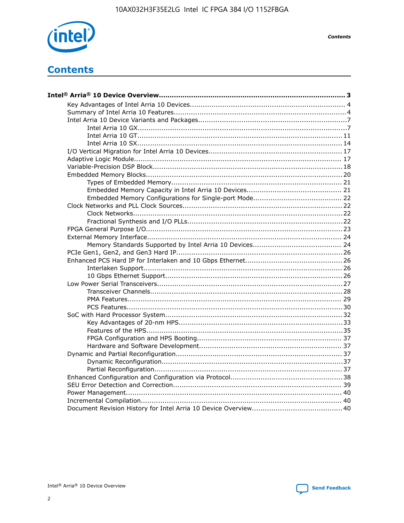

**Contents** 

# **Contents**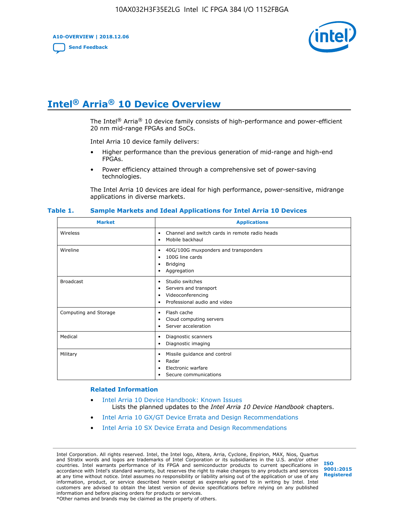**A10-OVERVIEW | 2018.12.06**

**[Send Feedback](mailto:FPGAtechdocfeedback@intel.com?subject=Feedback%20on%20Intel%20Arria%2010%20Device%20Overview%20(A10-OVERVIEW%202018.12.06)&body=We%20appreciate%20your%20feedback.%20In%20your%20comments,%20also%20specify%20the%20page%20number%20or%20paragraph.%20Thank%20you.)**



# **Intel® Arria® 10 Device Overview**

The Intel<sup>®</sup> Arria<sup>®</sup> 10 device family consists of high-performance and power-efficient 20 nm mid-range FPGAs and SoCs.

Intel Arria 10 device family delivers:

- Higher performance than the previous generation of mid-range and high-end FPGAs.
- Power efficiency attained through a comprehensive set of power-saving technologies.

The Intel Arria 10 devices are ideal for high performance, power-sensitive, midrange applications in diverse markets.

| <b>Market</b>         | <b>Applications</b>                                                                                               |
|-----------------------|-------------------------------------------------------------------------------------------------------------------|
| Wireless              | Channel and switch cards in remote radio heads<br>٠<br>Mobile backhaul<br>٠                                       |
| Wireline              | 40G/100G muxponders and transponders<br>٠<br>100G line cards<br>٠<br><b>Bridging</b><br>٠<br>Aggregation<br>٠     |
| <b>Broadcast</b>      | Studio switches<br>٠<br>Servers and transport<br>٠<br>Videoconferencing<br>٠<br>Professional audio and video<br>٠ |
| Computing and Storage | Flash cache<br>٠<br>Cloud computing servers<br>٠<br>Server acceleration<br>٠                                      |
| Medical               | Diagnostic scanners<br>٠<br>Diagnostic imaging<br>٠                                                               |
| Military              | Missile guidance and control<br>٠<br>Radar<br>٠<br>Electronic warfare<br>٠<br>Secure communications<br>٠          |

#### **Table 1. Sample Markets and Ideal Applications for Intel Arria 10 Devices**

#### **Related Information**

- [Intel Arria 10 Device Handbook: Known Issues](http://www.altera.com/support/kdb/solutions/rd07302013_646.html) Lists the planned updates to the *Intel Arria 10 Device Handbook* chapters.
- [Intel Arria 10 GX/GT Device Errata and Design Recommendations](https://www.intel.com/content/www/us/en/programmable/documentation/agz1493851706374.html#yqz1494433888646)
- [Intel Arria 10 SX Device Errata and Design Recommendations](https://www.intel.com/content/www/us/en/programmable/documentation/cru1462832385668.html#cru1462832558642)

Intel Corporation. All rights reserved. Intel, the Intel logo, Altera, Arria, Cyclone, Enpirion, MAX, Nios, Quartus and Stratix words and logos are trademarks of Intel Corporation or its subsidiaries in the U.S. and/or other countries. Intel warrants performance of its FPGA and semiconductor products to current specifications in accordance with Intel's standard warranty, but reserves the right to make changes to any products and services at any time without notice. Intel assumes no responsibility or liability arising out of the application or use of any information, product, or service described herein except as expressly agreed to in writing by Intel. Intel customers are advised to obtain the latest version of device specifications before relying on any published information and before placing orders for products or services. \*Other names and brands may be claimed as the property of others.

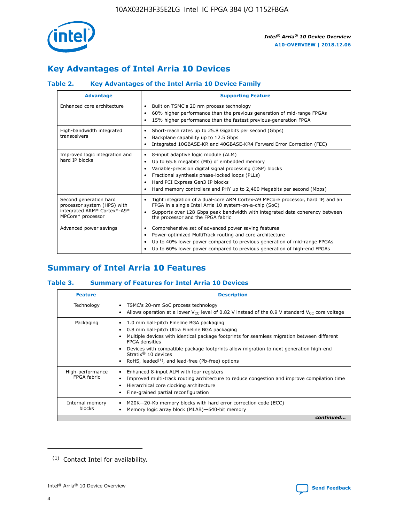

## **Key Advantages of Intel Arria 10 Devices**

## **Table 2. Key Advantages of the Intel Arria 10 Device Family**

| <b>Advantage</b>                                                                                          | <b>Supporting Feature</b>                                                                                                                                                                                                                                                                                                     |
|-----------------------------------------------------------------------------------------------------------|-------------------------------------------------------------------------------------------------------------------------------------------------------------------------------------------------------------------------------------------------------------------------------------------------------------------------------|
| Enhanced core architecture                                                                                | Built on TSMC's 20 nm process technology<br>٠<br>60% higher performance than the previous generation of mid-range FPGAs<br>٠<br>15% higher performance than the fastest previous-generation FPGA<br>٠                                                                                                                         |
| High-bandwidth integrated<br>transceivers                                                                 | Short-reach rates up to 25.8 Gigabits per second (Gbps)<br>٠<br>Backplane capability up to 12.5 Gbps<br>٠<br>Integrated 10GBASE-KR and 40GBASE-KR4 Forward Error Correction (FEC)<br>٠                                                                                                                                        |
| Improved logic integration and<br>hard IP blocks                                                          | 8-input adaptive logic module (ALM)<br>٠<br>Up to 65.6 megabits (Mb) of embedded memory<br>٠<br>Variable-precision digital signal processing (DSP) blocks<br>Fractional synthesis phase-locked loops (PLLs)<br>٠<br>Hard PCI Express Gen3 IP blocks<br>Hard memory controllers and PHY up to 2,400 Megabits per second (Mbps) |
| Second generation hard<br>processor system (HPS) with<br>integrated ARM* Cortex*-A9*<br>MPCore* processor | Tight integration of a dual-core ARM Cortex-A9 MPCore processor, hard IP, and an<br>٠<br>FPGA in a single Intel Arria 10 system-on-a-chip (SoC)<br>Supports over 128 Gbps peak bandwidth with integrated data coherency between<br>$\bullet$<br>the processor and the FPGA fabric                                             |
| Advanced power savings                                                                                    | Comprehensive set of advanced power saving features<br>٠<br>Power-optimized MultiTrack routing and core architecture<br>٠<br>Up to 40% lower power compared to previous generation of mid-range FPGAs<br>Up to 60% lower power compared to previous generation of high-end FPGAs<br>٠                                         |

## **Summary of Intel Arria 10 Features**

#### **Table 3. Summary of Features for Intel Arria 10 Devices**

| <b>Feature</b>                  | <b>Description</b>                                                                                                                                                                                                                                                                                                                                                                                       |
|---------------------------------|----------------------------------------------------------------------------------------------------------------------------------------------------------------------------------------------------------------------------------------------------------------------------------------------------------------------------------------------------------------------------------------------------------|
| Technology                      | TSMC's 20-nm SoC process technology<br>٠<br>Allows operation at a lower $V_{\text{CC}}$ level of 0.82 V instead of the 0.9 V standard $V_{\text{CC}}$ core voltage                                                                                                                                                                                                                                       |
| Packaging                       | 1.0 mm ball-pitch Fineline BGA packaging<br>0.8 mm ball-pitch Ultra Fineline BGA packaging<br>Multiple devices with identical package footprints for seamless migration between different<br><b>FPGA</b> densities<br>Devices with compatible package footprints allow migration to next generation high-end<br>Stratix $\mathcal{R}$ 10 devices<br>RoHS, leaded $(1)$ , and lead-free (Pb-free) options |
| High-performance<br>FPGA fabric | Enhanced 8-input ALM with four registers<br>٠<br>Improved multi-track routing architecture to reduce congestion and improve compilation time<br>Hierarchical core clocking architecture<br>Fine-grained partial reconfiguration                                                                                                                                                                          |
| Internal memory<br>blocks       | M20K-20-Kb memory blocks with hard error correction code (ECC)<br>Memory logic array block (MLAB)-640-bit memory                                                                                                                                                                                                                                                                                         |
|                                 | continued                                                                                                                                                                                                                                                                                                                                                                                                |



<sup>(1)</sup> Contact Intel for availability.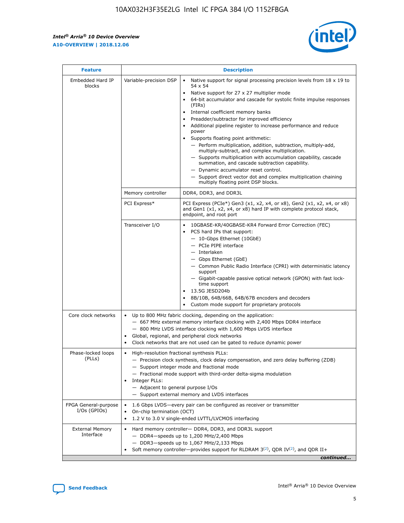r



| <b>Feature</b>                         | <b>Description</b>                                                                                             |                                                                                                                                                                                                                                                                                                                                                                                                                                                                                                                                                                                                                                                                                                                                                                                                                                        |  |  |  |  |  |
|----------------------------------------|----------------------------------------------------------------------------------------------------------------|----------------------------------------------------------------------------------------------------------------------------------------------------------------------------------------------------------------------------------------------------------------------------------------------------------------------------------------------------------------------------------------------------------------------------------------------------------------------------------------------------------------------------------------------------------------------------------------------------------------------------------------------------------------------------------------------------------------------------------------------------------------------------------------------------------------------------------------|--|--|--|--|--|
| Embedded Hard IP<br>blocks             | Variable-precision DSP                                                                                         | Native support for signal processing precision levels from $18 \times 19$ to<br>54 x 54<br>Native support for 27 x 27 multiplier mode<br>64-bit accumulator and cascade for systolic finite impulse responses<br>(FIRs)<br>Internal coefficient memory banks<br>$\bullet$<br>Preadder/subtractor for improved efficiency<br>Additional pipeline register to increase performance and reduce<br>power<br>Supports floating point arithmetic:<br>- Perform multiplication, addition, subtraction, multiply-add,<br>multiply-subtract, and complex multiplication.<br>- Supports multiplication with accumulation capability, cascade<br>summation, and cascade subtraction capability.<br>- Dynamic accumulator reset control.<br>- Support direct vector dot and complex multiplication chaining<br>multiply floating point DSP blocks. |  |  |  |  |  |
|                                        | Memory controller                                                                                              | DDR4, DDR3, and DDR3L                                                                                                                                                                                                                                                                                                                                                                                                                                                                                                                                                                                                                                                                                                                                                                                                                  |  |  |  |  |  |
|                                        | PCI Express*                                                                                                   | PCI Express (PCIe*) Gen3 (x1, x2, x4, or x8), Gen2 (x1, x2, x4, or x8)<br>and Gen1 (x1, x2, x4, or x8) hard IP with complete protocol stack,<br>endpoint, and root port                                                                                                                                                                                                                                                                                                                                                                                                                                                                                                                                                                                                                                                                |  |  |  |  |  |
|                                        | Transceiver I/O                                                                                                | 10GBASE-KR/40GBASE-KR4 Forward Error Correction (FEC)<br>PCS hard IPs that support:<br>$\bullet$<br>- 10-Gbps Ethernet (10GbE)<br>- PCIe PIPE interface<br>$-$ Interlaken<br>- Gbps Ethernet (GbE)<br>- Common Public Radio Interface (CPRI) with deterministic latency<br>support<br>- Gigabit-capable passive optical network (GPON) with fast lock-<br>time support<br>13.5G JESD204b<br>$\bullet$<br>8B/10B, 64B/66B, 64B/67B encoders and decoders<br>Custom mode support for proprietary protocols                                                                                                                                                                                                                                                                                                                               |  |  |  |  |  |
| Core clock networks                    | $\bullet$<br>$\bullet$                                                                                         | Up to 800 MHz fabric clocking, depending on the application:<br>- 667 MHz external memory interface clocking with 2,400 Mbps DDR4 interface<br>- 800 MHz LVDS interface clocking with 1,600 Mbps LVDS interface<br>Global, regional, and peripheral clock networks<br>Clock networks that are not used can be gated to reduce dynamic power                                                                                                                                                                                                                                                                                                                                                                                                                                                                                            |  |  |  |  |  |
| Phase-locked loops<br>(PLLs)           | High-resolution fractional synthesis PLLs:<br>$\bullet$<br>Integer PLLs:<br>- Adjacent to general purpose I/Os | - Precision clock synthesis, clock delay compensation, and zero delay buffering (ZDB)<br>- Support integer mode and fractional mode<br>- Fractional mode support with third-order delta-sigma modulation<br>- Support external memory and LVDS interfaces                                                                                                                                                                                                                                                                                                                                                                                                                                                                                                                                                                              |  |  |  |  |  |
| FPGA General-purpose<br>$I/Os$ (GPIOs) | On-chip termination (OCT)                                                                                      | 1.6 Gbps LVDS-every pair can be configured as receiver or transmitter<br>1.2 V to 3.0 V single-ended LVTTL/LVCMOS interfacing                                                                                                                                                                                                                                                                                                                                                                                                                                                                                                                                                                                                                                                                                                          |  |  |  |  |  |
| <b>External Memory</b><br>Interface    |                                                                                                                | Hard memory controller- DDR4, DDR3, and DDR3L support<br>$-$ DDR4-speeds up to 1,200 MHz/2,400 Mbps<br>- DDR3-speeds up to 1,067 MHz/2,133 Mbps<br>Soft memory controller—provides support for RLDRAM $3^{(2)}$ , QDR IV $^{(2)}$ , and QDR II+<br>continued                                                                                                                                                                                                                                                                                                                                                                                                                                                                                                                                                                           |  |  |  |  |  |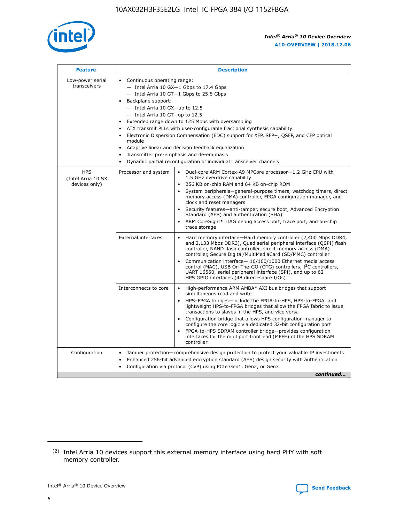

| <b>Feature</b>                                    | <b>Description</b>                                                                                                                                                                                                                                                                                                                                                                                                                                                                                                                                                                                                                                  |
|---------------------------------------------------|-----------------------------------------------------------------------------------------------------------------------------------------------------------------------------------------------------------------------------------------------------------------------------------------------------------------------------------------------------------------------------------------------------------------------------------------------------------------------------------------------------------------------------------------------------------------------------------------------------------------------------------------------------|
| Low-power serial<br>transceivers                  | • Continuous operating range:<br>- Intel Arria 10 GX-1 Gbps to 17.4 Gbps<br>- Intel Arria 10 GT-1 Gbps to 25.8 Gbps<br>Backplane support:<br>- Intel Arria 10 GX-up to 12.5<br>- Intel Arria 10 GT-up to 12.5<br>Extended range down to 125 Mbps with oversampling<br>ATX transmit PLLs with user-configurable fractional synthesis capability<br>Electronic Dispersion Compensation (EDC) support for XFP, SFP+, QSFP, and CFP optical<br>module<br>Adaptive linear and decision feedback equalization<br>$\bullet$<br>Transmitter pre-emphasis and de-emphasis<br>$\bullet$<br>Dynamic partial reconfiguration of individual transceiver channels |
| <b>HPS</b><br>(Intel Arria 10 SX<br>devices only) | Dual-core ARM Cortex-A9 MPCore processor-1.2 GHz CPU with<br>Processor and system<br>$\bullet$<br>1.5 GHz overdrive capability<br>256 KB on-chip RAM and 64 KB on-chip ROM<br>System peripherals—general-purpose timers, watchdog timers, direct<br>memory access (DMA) controller, FPGA configuration manager, and<br>clock and reset managers<br>Security features-anti-tamper, secure boot, Advanced Encryption<br>Standard (AES) and authentication (SHA)<br>ARM CoreSight* JTAG debug access port, trace port, and on-chip<br>trace storage                                                                                                    |
|                                                   | <b>External interfaces</b><br>Hard memory interface-Hard memory controller (2,400 Mbps DDR4,<br>$\bullet$<br>and 2,133 Mbps DDR3), Quad serial peripheral interface (QSPI) flash<br>controller, NAND flash controller, direct memory access (DMA)<br>controller, Secure Digital/MultiMediaCard (SD/MMC) controller<br>Communication interface-10/100/1000 Ethernet media access<br>control (MAC), USB On-The-GO (OTG) controllers, I <sup>2</sup> C controllers,<br>UART 16550, serial peripheral interface (SPI), and up to 62<br>HPS GPIO interfaces (48 direct-share I/Os)                                                                       |
|                                                   | High-performance ARM AMBA* AXI bus bridges that support<br>Interconnects to core<br>$\bullet$<br>simultaneous read and write<br>HPS-FPGA bridges-include the FPGA-to-HPS, HPS-to-FPGA, and<br>$\bullet$<br>lightweight HPS-to-FPGA bridges that allow the FPGA fabric to issue<br>transactions to slaves in the HPS, and vice versa<br>Configuration bridge that allows HPS configuration manager to<br>configure the core logic via dedicated 32-bit configuration port<br>FPGA-to-HPS SDRAM controller bridge-provides configuration<br>interfaces for the multiport front end (MPFE) of the HPS SDRAM<br>controller                              |
| Configuration                                     | Tamper protection—comprehensive design protection to protect your valuable IP investments<br>Enhanced 256-bit advanced encryption standard (AES) design security with authentication<br>٠<br>Configuration via protocol (CvP) using PCIe Gen1, Gen2, or Gen3<br>continued                                                                                                                                                                                                                                                                                                                                                                           |

<sup>(2)</sup> Intel Arria 10 devices support this external memory interface using hard PHY with soft memory controller.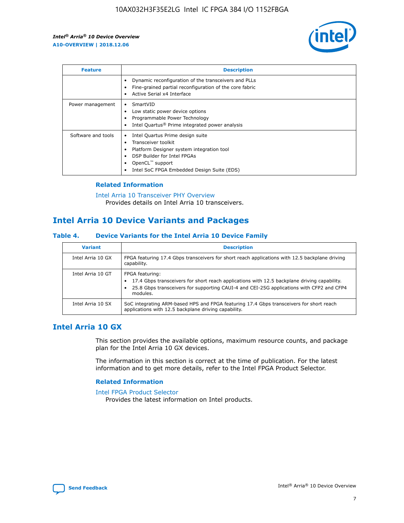

| <b>Feature</b>     | <b>Description</b>                                                                                                                                                                                               |
|--------------------|------------------------------------------------------------------------------------------------------------------------------------------------------------------------------------------------------------------|
|                    | Dynamic reconfiguration of the transceivers and PLLs<br>Fine-grained partial reconfiguration of the core fabric<br>Active Serial x4 Interface<br>$\bullet$                                                       |
| Power management   | SmartVID<br>Low static power device options<br>Programmable Power Technology<br>Intel Quartus <sup>®</sup> Prime integrated power analysis                                                                       |
| Software and tools | Intel Quartus Prime design suite<br>Transceiver toolkit<br>Platform Designer system integration tool<br>DSP Builder for Intel FPGAs<br>OpenCL <sup>™</sup> support<br>Intel SoC FPGA Embedded Design Suite (EDS) |

#### **Related Information**

[Intel Arria 10 Transceiver PHY Overview](https://www.intel.com/content/www/us/en/programmable/documentation/nik1398707230472.html#nik1398706768037) Provides details on Intel Arria 10 transceivers.

## **Intel Arria 10 Device Variants and Packages**

#### **Table 4. Device Variants for the Intel Arria 10 Device Family**

| <b>Variant</b>    | <b>Description</b>                                                                                                                                                                                                     |
|-------------------|------------------------------------------------------------------------------------------------------------------------------------------------------------------------------------------------------------------------|
| Intel Arria 10 GX | FPGA featuring 17.4 Gbps transceivers for short reach applications with 12.5 backplane driving<br>capability.                                                                                                          |
| Intel Arria 10 GT | FPGA featuring:<br>17.4 Gbps transceivers for short reach applications with 12.5 backplane driving capability.<br>25.8 Gbps transceivers for supporting CAUI-4 and CEI-25G applications with CFP2 and CFP4<br>modules. |
| Intel Arria 10 SX | SoC integrating ARM-based HPS and FPGA featuring 17.4 Gbps transceivers for short reach<br>applications with 12.5 backplane driving capability.                                                                        |

## **Intel Arria 10 GX**

This section provides the available options, maximum resource counts, and package plan for the Intel Arria 10 GX devices.

The information in this section is correct at the time of publication. For the latest information and to get more details, refer to the Intel FPGA Product Selector.

#### **Related Information**

#### [Intel FPGA Product Selector](http://www.altera.com/products/selector/psg-selector.html) Provides the latest information on Intel products.

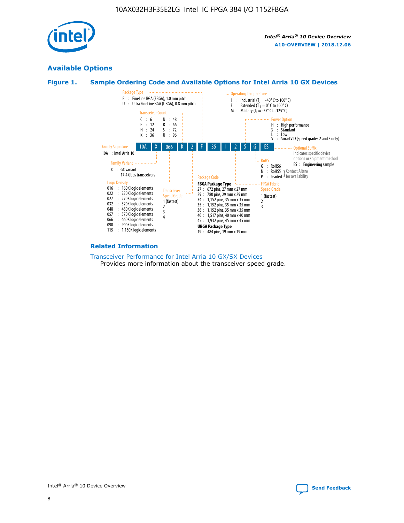

## **Available Options**





#### **Related Information**

[Transceiver Performance for Intel Arria 10 GX/SX Devices](https://www.intel.com/content/www/us/en/programmable/documentation/mcn1413182292568.html#mcn1413213965502) Provides more information about the transceiver speed grade.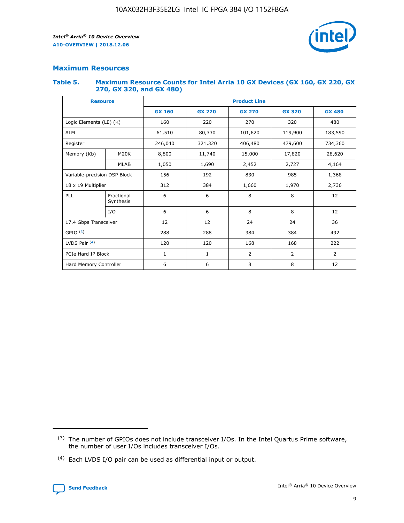

#### **Maximum Resources**

#### **Table 5. Maximum Resource Counts for Intel Arria 10 GX Devices (GX 160, GX 220, GX 270, GX 320, and GX 480)**

| <b>Resource</b>              |                         | <b>Product Line</b> |                                                 |                |                |               |  |  |
|------------------------------|-------------------------|---------------------|-------------------------------------------------|----------------|----------------|---------------|--|--|
|                              |                         | <b>GX 160</b>       | <b>GX 220</b><br><b>GX 270</b><br><b>GX 320</b> |                |                | <b>GX 480</b> |  |  |
| Logic Elements (LE) (K)      |                         | 160                 | 220                                             | 270            | 320            | 480           |  |  |
| <b>ALM</b>                   |                         | 61,510              | 80,330                                          | 101,620        | 119,900        | 183,590       |  |  |
| Register                     |                         | 246,040             | 321,320<br>406,480                              |                | 479,600        | 734,360       |  |  |
| Memory (Kb)                  | M <sub>20</sub> K       | 8,800               | 11,740                                          | 15,000         | 17,820         | 28,620        |  |  |
|                              | <b>MLAB</b>             | 1,050               | 1,690<br>2,452                                  |                | 2,727          | 4,164         |  |  |
| Variable-precision DSP Block |                         | 156                 | 192<br>830<br>985                               |                | 1,368          |               |  |  |
| 18 x 19 Multiplier           |                         | 312                 | 384                                             | 1,970<br>1,660 |                | 2,736         |  |  |
| PLL                          | Fractional<br>Synthesis | 6                   | 6                                               | 8              | 8              | 12            |  |  |
|                              | I/O                     | 6                   | 6                                               | 8              | 8              | 12            |  |  |
| 17.4 Gbps Transceiver        |                         | 12                  | 12                                              | 24             | 24             | 36            |  |  |
| GPIO <sup>(3)</sup>          |                         | 288                 | 288                                             | 384<br>384     |                | 492           |  |  |
| LVDS Pair $(4)$              |                         | 120                 | 120                                             | 168            | 168            | 222           |  |  |
| PCIe Hard IP Block           |                         | 1                   | 1                                               | $\overline{2}$ | $\overline{2}$ | 2             |  |  |
| Hard Memory Controller       |                         | 6                   | 6                                               | 8              | 8              | 12            |  |  |

<sup>(4)</sup> Each LVDS I/O pair can be used as differential input or output.



<sup>(3)</sup> The number of GPIOs does not include transceiver I/Os. In the Intel Quartus Prime software, the number of user I/Os includes transceiver I/Os.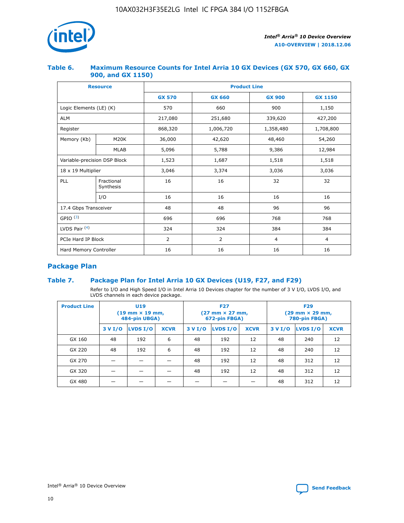

#### **Table 6. Maximum Resource Counts for Intel Arria 10 GX Devices (GX 570, GX 660, GX 900, and GX 1150)**

|                              | <b>Resource</b>         | <b>Product Line</b> |                |                |                |  |  |  |
|------------------------------|-------------------------|---------------------|----------------|----------------|----------------|--|--|--|
|                              |                         | <b>GX 570</b>       | <b>GX 660</b>  | <b>GX 900</b>  | <b>GX 1150</b> |  |  |  |
| Logic Elements (LE) (K)      |                         | 570                 | 660            | 900            | 1,150          |  |  |  |
| <b>ALM</b>                   |                         | 217,080             | 251,680        | 339,620        | 427,200        |  |  |  |
| Register                     |                         | 868,320             | 1,006,720      | 1,358,480      | 1,708,800      |  |  |  |
| Memory (Kb)                  | <b>M20K</b>             | 36,000              | 42,620         | 48,460         | 54,260         |  |  |  |
|                              | <b>MLAB</b>             | 5,096               | 5,788          | 9,386          | 12,984         |  |  |  |
| Variable-precision DSP Block |                         | 1,523               | 1,687          | 1,518          | 1,518          |  |  |  |
| 18 x 19 Multiplier           |                         | 3,046               | 3,374          | 3,036          | 3,036          |  |  |  |
| PLL                          | Fractional<br>Synthesis | 16                  | 16             | 32             | 32             |  |  |  |
|                              | I/O                     | 16                  | 16             | 16             | 16             |  |  |  |
| 17.4 Gbps Transceiver        |                         | 48                  | 48             | 96             | 96             |  |  |  |
| GPIO <sup>(3)</sup>          |                         | 696                 | 696            | 768            | 768            |  |  |  |
| LVDS Pair $(4)$              |                         | 324                 | 324            | 384            | 384            |  |  |  |
| PCIe Hard IP Block           |                         | 2                   | $\overline{2}$ | $\overline{4}$ | $\overline{4}$ |  |  |  |
| Hard Memory Controller       |                         | 16                  | 16             | 16             | 16             |  |  |  |

## **Package Plan**

#### **Table 7. Package Plan for Intel Arria 10 GX Devices (U19, F27, and F29)**

Refer to I/O and High Speed I/O in Intel Arria 10 Devices chapter for the number of 3 V I/O, LVDS I/O, and LVDS channels in each device package.

| <b>Product Line</b> | U <sub>19</sub><br>$(19 \text{ mm} \times 19 \text{ mm})$<br>484-pin UBGA) |          |             |         | <b>F27</b><br>(27 mm × 27 mm,<br>672-pin FBGA) |             | <b>F29</b><br>(29 mm × 29 mm,<br>780-pin FBGA) |          |             |  |
|---------------------|----------------------------------------------------------------------------|----------|-------------|---------|------------------------------------------------|-------------|------------------------------------------------|----------|-------------|--|
|                     | 3 V I/O                                                                    | LVDS I/O | <b>XCVR</b> | 3 V I/O | LVDS I/O                                       | <b>XCVR</b> | 3 V I/O                                        | LVDS I/O | <b>XCVR</b> |  |
| GX 160              | 48                                                                         | 192      | 6           | 48      | 192                                            | 12          | 48                                             | 240      | 12          |  |
| GX 220              | 48                                                                         | 192      | 6           | 48      | 192                                            | 12          | 48                                             | 240      | 12          |  |
| GX 270              |                                                                            |          |             | 48      | 192                                            | 12          | 48                                             | 312      | 12          |  |
| GX 320              |                                                                            |          |             | 48      | 192                                            | 12          | 48                                             | 312      | 12          |  |
| GX 480              |                                                                            |          |             |         |                                                |             | 48                                             | 312      | 12          |  |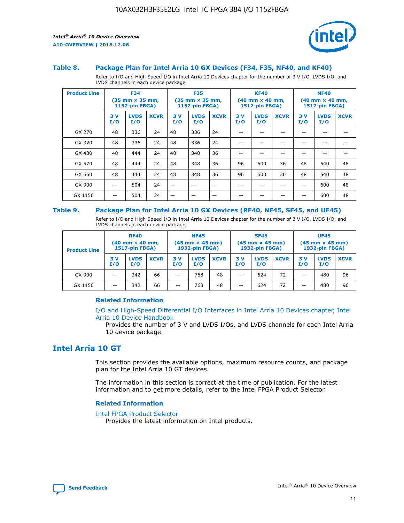

#### **Table 8. Package Plan for Intel Arria 10 GX Devices (F34, F35, NF40, and KF40)**

Refer to I/O and High Speed I/O in Intel Arria 10 Devices chapter for the number of 3 V I/O, LVDS I/O, and LVDS channels in each device package.

| <b>Product Line</b> | <b>F34</b><br>$(35 \text{ mm} \times 35 \text{ mm})$<br>1152-pin FBGA) |                    | <b>F35</b><br>$(35 \text{ mm} \times 35 \text{ mm})$<br><b>1152-pin FBGA)</b> |           | <b>KF40</b><br>$(40$ mm $\times$ 40 mm,<br>1517-pin FBGA) |             |           | <b>NF40</b><br>$(40$ mm $\times$ 40 mm,<br><b>1517-pin FBGA)</b> |             |            |                    |             |
|---------------------|------------------------------------------------------------------------|--------------------|-------------------------------------------------------------------------------|-----------|-----------------------------------------------------------|-------------|-----------|------------------------------------------------------------------|-------------|------------|--------------------|-------------|
|                     | 3V<br>I/O                                                              | <b>LVDS</b><br>I/O | <b>XCVR</b>                                                                   | 3V<br>I/O | <b>LVDS</b><br>I/O                                        | <b>XCVR</b> | 3V<br>I/O | <b>LVDS</b><br>I/O                                               | <b>XCVR</b> | 3 V<br>I/O | <b>LVDS</b><br>I/O | <b>XCVR</b> |
| GX 270              | 48                                                                     | 336                | 24                                                                            | 48        | 336                                                       | 24          |           |                                                                  |             |            |                    |             |
| GX 320              | 48                                                                     | 336                | 24                                                                            | 48        | 336                                                       | 24          |           |                                                                  |             |            |                    |             |
| GX 480              | 48                                                                     | 444                | 24                                                                            | 48        | 348                                                       | 36          |           |                                                                  |             |            |                    |             |
| GX 570              | 48                                                                     | 444                | 24                                                                            | 48        | 348                                                       | 36          | 96        | 600                                                              | 36          | 48         | 540                | 48          |
| GX 660              | 48                                                                     | 444                | 24                                                                            | 48        | 348                                                       | 36          | 96        | 600                                                              | 36          | 48         | 540                | 48          |
| GX 900              |                                                                        | 504                | 24                                                                            | -         |                                                           |             |           |                                                                  |             |            | 600                | 48          |
| GX 1150             |                                                                        | 504                | 24                                                                            |           |                                                           |             |           |                                                                  |             |            | 600                | 48          |

#### **Table 9. Package Plan for Intel Arria 10 GX Devices (RF40, NF45, SF45, and UF45)**

Refer to I/O and High Speed I/O in Intel Arria 10 Devices chapter for the number of 3 V I/O, LVDS I/O, and LVDS channels in each device package.

| <b>Product Line</b> | <b>RF40</b><br>$(40$ mm $\times$ 40 mm,<br>1517-pin FBGA) |                    | <b>NF45</b><br>$(45 \text{ mm} \times 45 \text{ mm})$<br><b>1932-pin FBGA)</b> |            |                    | <b>SF45</b><br>$(45 \text{ mm} \times 45 \text{ mm})$<br><b>1932-pin FBGA)</b> |            |                    | <b>UF45</b><br>$(45 \text{ mm} \times 45 \text{ mm})$<br><b>1932-pin FBGA)</b> |           |                    |             |
|---------------------|-----------------------------------------------------------|--------------------|--------------------------------------------------------------------------------|------------|--------------------|--------------------------------------------------------------------------------|------------|--------------------|--------------------------------------------------------------------------------|-----------|--------------------|-------------|
|                     | 3V<br>I/O                                                 | <b>LVDS</b><br>I/O | <b>XCVR</b>                                                                    | 3 V<br>I/O | <b>LVDS</b><br>I/O | <b>XCVR</b>                                                                    | 3 V<br>I/O | <b>LVDS</b><br>I/O | <b>XCVR</b>                                                                    | 3V<br>I/O | <b>LVDS</b><br>I/O | <b>XCVR</b> |
| GX 900              |                                                           | 342                | 66                                                                             | _          | 768                | 48                                                                             |            | 624                | 72                                                                             |           | 480                | 96          |
| GX 1150             |                                                           | 342                | 66                                                                             | _          | 768                | 48                                                                             |            | 624                | 72                                                                             |           | 480                | 96          |

#### **Related Information**

[I/O and High-Speed Differential I/O Interfaces in Intel Arria 10 Devices chapter, Intel](https://www.intel.com/content/www/us/en/programmable/documentation/sam1403482614086.html#sam1403482030321) [Arria 10 Device Handbook](https://www.intel.com/content/www/us/en/programmable/documentation/sam1403482614086.html#sam1403482030321)

Provides the number of 3 V and LVDS I/Os, and LVDS channels for each Intel Arria 10 device package.

## **Intel Arria 10 GT**

This section provides the available options, maximum resource counts, and package plan for the Intel Arria 10 GT devices.

The information in this section is correct at the time of publication. For the latest information and to get more details, refer to the Intel FPGA Product Selector.

#### **Related Information**

#### [Intel FPGA Product Selector](http://www.altera.com/products/selector/psg-selector.html)

Provides the latest information on Intel products.

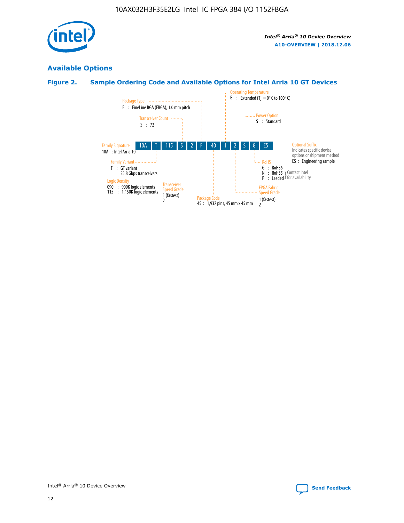

## **Available Options**

## **Figure 2. Sample Ordering Code and Available Options for Intel Arria 10 GT Devices**

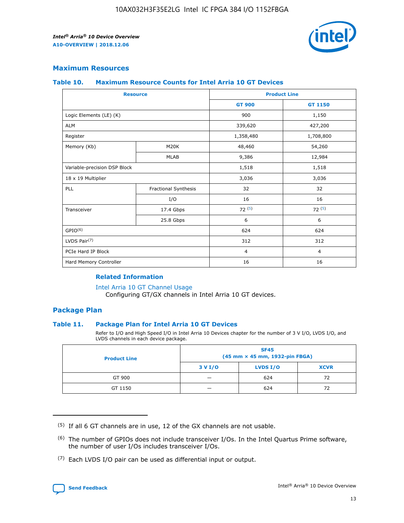

#### **Maximum Resources**

#### **Table 10. Maximum Resource Counts for Intel Arria 10 GT Devices**

| <b>Resource</b>              |                      |                | <b>Product Line</b> |  |
|------------------------------|----------------------|----------------|---------------------|--|
|                              |                      | <b>GT 900</b>  | <b>GT 1150</b>      |  |
| Logic Elements (LE) (K)      |                      | 900            | 1,150               |  |
| <b>ALM</b>                   |                      | 339,620        | 427,200             |  |
| Register                     |                      | 1,358,480      | 1,708,800           |  |
| Memory (Kb)                  | M20K                 | 48,460         | 54,260              |  |
|                              | <b>MLAB</b>          | 9,386          | 12,984              |  |
| Variable-precision DSP Block |                      | 1,518          | 1,518               |  |
| 18 x 19 Multiplier           |                      | 3,036          | 3,036               |  |
| <b>PLL</b>                   | Fractional Synthesis | 32             | 32                  |  |
|                              | I/O                  | 16             | 16                  |  |
| Transceiver                  | 17.4 Gbps            | 72(5)          | 72(5)               |  |
|                              | 25.8 Gbps            | 6              | 6                   |  |
| GPIO <sup>(6)</sup>          |                      | 624            | 624                 |  |
| LVDS Pair $(7)$              |                      | 312            | 312                 |  |
| PCIe Hard IP Block           |                      | $\overline{4}$ | $\overline{4}$      |  |
| Hard Memory Controller       |                      | 16             | 16                  |  |

#### **Related Information**

#### [Intel Arria 10 GT Channel Usage](https://www.intel.com/content/www/us/en/programmable/documentation/nik1398707230472.html#nik1398707008178)

Configuring GT/GX channels in Intel Arria 10 GT devices.

#### **Package Plan**

#### **Table 11. Package Plan for Intel Arria 10 GT Devices**

Refer to I/O and High Speed I/O in Intel Arria 10 Devices chapter for the number of 3 V I/O, LVDS I/O, and LVDS channels in each device package.

| <b>Product Line</b> | <b>SF45</b><br>(45 mm × 45 mm, 1932-pin FBGA) |                 |             |  |  |  |
|---------------------|-----------------------------------------------|-----------------|-------------|--|--|--|
|                     | 3 V I/O                                       | <b>LVDS I/O</b> | <b>XCVR</b> |  |  |  |
| GT 900              |                                               | 624             | 72          |  |  |  |
| GT 1150             |                                               | 624             | 72          |  |  |  |

<sup>(7)</sup> Each LVDS I/O pair can be used as differential input or output.



 $(5)$  If all 6 GT channels are in use, 12 of the GX channels are not usable.

<sup>(6)</sup> The number of GPIOs does not include transceiver I/Os. In the Intel Quartus Prime software, the number of user I/Os includes transceiver I/Os.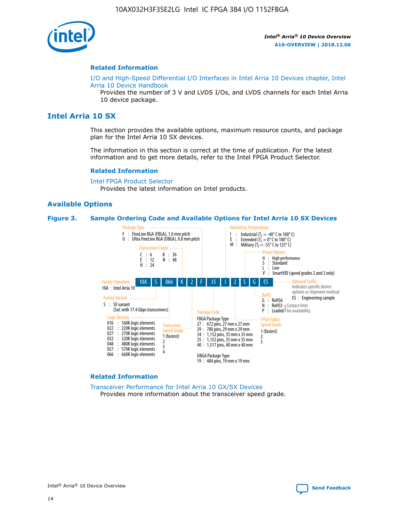

#### **Related Information**

[I/O and High-Speed Differential I/O Interfaces in Intel Arria 10 Devices chapter, Intel](https://www.intel.com/content/www/us/en/programmable/documentation/sam1403482614086.html#sam1403482030321) [Arria 10 Device Handbook](https://www.intel.com/content/www/us/en/programmable/documentation/sam1403482614086.html#sam1403482030321)

Provides the number of 3 V and LVDS I/Os, and LVDS channels for each Intel Arria 10 device package.

## **Intel Arria 10 SX**

This section provides the available options, maximum resource counts, and package plan for the Intel Arria 10 SX devices.

The information in this section is correct at the time of publication. For the latest information and to get more details, refer to the Intel FPGA Product Selector.

#### **Related Information**

[Intel FPGA Product Selector](http://www.altera.com/products/selector/psg-selector.html) Provides the latest information on Intel products.

#### **Available Options**

#### **Figure 3. Sample Ordering Code and Available Options for Intel Arria 10 SX Devices**



#### **Related Information**

[Transceiver Performance for Intel Arria 10 GX/SX Devices](https://www.intel.com/content/www/us/en/programmable/documentation/mcn1413182292568.html#mcn1413213965502) Provides more information about the transceiver speed grade.

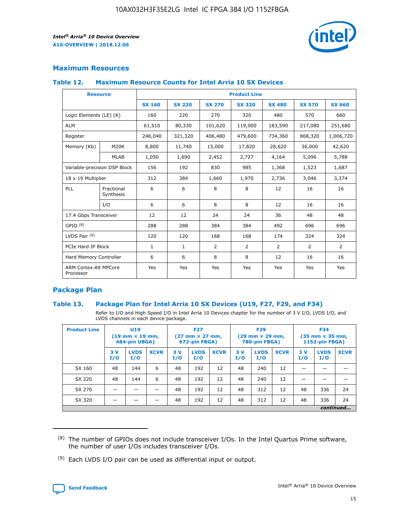

#### **Maximum Resources**

#### **Table 12. Maximum Resource Counts for Intel Arria 10 SX Devices**

| <b>Resource</b>                   |                         | <b>Product Line</b> |               |               |                |               |               |               |  |  |  |
|-----------------------------------|-------------------------|---------------------|---------------|---------------|----------------|---------------|---------------|---------------|--|--|--|
|                                   |                         | <b>SX 160</b>       | <b>SX 220</b> | <b>SX 270</b> | <b>SX 320</b>  | <b>SX 480</b> | <b>SX 570</b> | <b>SX 660</b> |  |  |  |
| Logic Elements (LE) (K)           |                         | 160                 | 220           | 270           | 320            | 480           | 570           | 660           |  |  |  |
| <b>ALM</b>                        |                         | 61,510              | 80,330        | 101,620       | 119,900        | 183,590       | 217,080       | 251,680       |  |  |  |
| Register                          |                         | 246,040             | 321,320       | 406,480       | 479,600        | 734,360       | 868,320       | 1,006,720     |  |  |  |
| Memory (Kb)                       | M20K                    | 8,800               | 11,740        | 15,000        | 17,820         | 28,620        | 36,000        | 42,620        |  |  |  |
|                                   | <b>MLAB</b>             | 1,050               | 1,690         | 2,452         | 2,727          | 4,164         | 5,096         | 5,788         |  |  |  |
| Variable-precision DSP Block      |                         | 156                 | 192           | 830           | 985            | 1,368         | 1,523         | 1,687         |  |  |  |
| 18 x 19 Multiplier                |                         | 312                 | 384           | 1,660         | 1,970          | 2,736         | 3,046         | 3,374         |  |  |  |
| PLL                               | Fractional<br>Synthesis | 6                   | 6             | 8             | 8              | 12            | 16            | 16            |  |  |  |
|                                   | I/O                     | 6                   | 6             | 8             | 8              | 12            | 16            | 16            |  |  |  |
| 17.4 Gbps Transceiver             |                         | 12                  | 12            | 24            | 24             | 36            | 48            | 48            |  |  |  |
| GPIO <sup>(8)</sup>               |                         | 288                 | 288           | 384           | 384            | 492           | 696           | 696           |  |  |  |
| LVDS Pair $(9)$                   |                         | 120                 | 120           | 168           | 168            | 174           | 324           | 324           |  |  |  |
| PCIe Hard IP Block                |                         | $\mathbf{1}$        | $\mathbf{1}$  | 2             | $\overline{2}$ | 2             | 2             | 2             |  |  |  |
| Hard Memory Controller            |                         | 6                   | 6             | 8             | 8              | 12            | 16            | 16            |  |  |  |
| ARM Cortex-A9 MPCore<br>Processor |                         | Yes                 | Yes           | Yes           | Yes            | Yes           | Yes           | Yes           |  |  |  |

#### **Package Plan**

#### **Table 13. Package Plan for Intel Arria 10 SX Devices (U19, F27, F29, and F34)**

Refer to I/O and High Speed I/O in Intel Arria 10 Devices chapter for the number of 3 V I/O, LVDS I/O, and LVDS channels in each device package.

| <b>Product Line</b> | U <sub>19</sub><br>$(19 \text{ mm} \times 19 \text{ mm})$<br>484-pin UBGA) |                    | <b>F27</b><br>$(27 \text{ mm} \times 27 \text{ mm})$<br>672-pin FBGA) |           | <b>F29</b><br>$(29 \text{ mm} \times 29 \text{ mm})$<br>780-pin FBGA) |             |            | <b>F34</b><br>$(35 \text{ mm} \times 35 \text{ mm})$<br><b>1152-pin FBGA)</b> |             |           |                    |             |
|---------------------|----------------------------------------------------------------------------|--------------------|-----------------------------------------------------------------------|-----------|-----------------------------------------------------------------------|-------------|------------|-------------------------------------------------------------------------------|-------------|-----------|--------------------|-------------|
|                     | 3V<br>I/O                                                                  | <b>LVDS</b><br>I/O | <b>XCVR</b>                                                           | 3V<br>I/O | <b>LVDS</b><br>I/O                                                    | <b>XCVR</b> | 3 V<br>I/O | <b>LVDS</b><br>I/O                                                            | <b>XCVR</b> | 3V<br>I/O | <b>LVDS</b><br>I/O | <b>XCVR</b> |
| SX 160              | 48                                                                         | 144                | 6                                                                     | 48        | 192                                                                   | 12          | 48         | 240                                                                           | 12          | –         |                    |             |
| SX 220              | 48                                                                         | 144                | 6                                                                     | 48        | 192                                                                   | 12          | 48         | 240                                                                           | 12          |           |                    |             |
| SX 270              |                                                                            |                    |                                                                       | 48        | 192                                                                   | 12          | 48         | 312                                                                           | 12          | 48        | 336                | 24          |
| SX 320              |                                                                            |                    |                                                                       | 48        | 192                                                                   | 12          | 48         | 312                                                                           | 12          | 48        | 336                | 24          |
|                     | continued                                                                  |                    |                                                                       |           |                                                                       |             |            |                                                                               |             |           |                    |             |

 $(8)$  The number of GPIOs does not include transceiver I/Os. In the Intel Quartus Prime software, the number of user I/Os includes transceiver I/Os.

 $(9)$  Each LVDS I/O pair can be used as differential input or output.

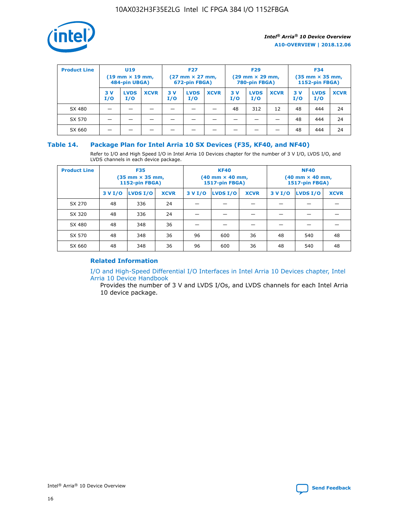

| <b>Product Line</b> | U <sub>19</sub><br>$(19 \text{ mm} \times 19 \text{ mm})$<br>484-pin UBGA) |                    | <b>F27</b><br>$(27 \text{ mm} \times 27 \text{ mm})$<br>672-pin FBGA) |           | <b>F29</b><br>$(29 \text{ mm} \times 29 \text{ mm})$<br>780-pin FBGA) |             |           | <b>F34</b><br>$(35 \text{ mm} \times 35 \text{ mm})$<br><b>1152-pin FBGA)</b> |             |           |                    |             |
|---------------------|----------------------------------------------------------------------------|--------------------|-----------------------------------------------------------------------|-----------|-----------------------------------------------------------------------|-------------|-----------|-------------------------------------------------------------------------------|-------------|-----------|--------------------|-------------|
|                     | 3 V<br>I/O                                                                 | <b>LVDS</b><br>I/O | <b>XCVR</b>                                                           | 3V<br>I/O | <b>LVDS</b><br>I/O                                                    | <b>XCVR</b> | 3V<br>I/O | <b>LVDS</b><br>I/O                                                            | <b>XCVR</b> | 3V<br>I/O | <b>LVDS</b><br>I/O | <b>XCVR</b> |
| SX 480              |                                                                            |                    |                                                                       |           |                                                                       |             | 48        | 312                                                                           | 12          | 48        | 444                | 24          |
| SX 570              |                                                                            |                    |                                                                       |           |                                                                       |             |           |                                                                               |             | 48        | 444                | 24          |
| SX 660              |                                                                            |                    |                                                                       |           |                                                                       |             |           |                                                                               |             | 48        | 444                | 24          |

#### **Table 14. Package Plan for Intel Arria 10 SX Devices (F35, KF40, and NF40)**

Refer to I/O and High Speed I/O in Intel Arria 10 Devices chapter for the number of 3 V I/O, LVDS I/O, and LVDS channels in each device package.

| <b>Product Line</b> | <b>F35</b><br>$(35 \text{ mm} \times 35 \text{ mm})$<br><b>1152-pin FBGA)</b> |          |             |                                           | <b>KF40</b><br>(40 mm × 40 mm,<br>1517-pin FBGA) |    | <b>NF40</b><br>$(40 \text{ mm} \times 40 \text{ mm})$<br>1517-pin FBGA) |          |             |  |
|---------------------|-------------------------------------------------------------------------------|----------|-------------|-------------------------------------------|--------------------------------------------------|----|-------------------------------------------------------------------------|----------|-------------|--|
|                     | 3 V I/O                                                                       | LVDS I/O | <b>XCVR</b> | <b>LVDS I/O</b><br><b>XCVR</b><br>3 V I/O |                                                  |    | 3 V I/O                                                                 | LVDS I/O | <b>XCVR</b> |  |
| SX 270              | 48                                                                            | 336      | 24          |                                           |                                                  |    |                                                                         |          |             |  |
| SX 320              | 48                                                                            | 336      | 24          |                                           |                                                  |    |                                                                         |          |             |  |
| SX 480              | 48                                                                            | 348      | 36          |                                           |                                                  |    |                                                                         |          |             |  |
| SX 570              | 48                                                                            | 348      | 36          | 96                                        | 600                                              | 36 | 48                                                                      | 540      | 48          |  |
| SX 660              | 48                                                                            | 348      | 36          | 96                                        | 600                                              | 36 | 48                                                                      | 540      | 48          |  |

## **Related Information**

[I/O and High-Speed Differential I/O Interfaces in Intel Arria 10 Devices chapter, Intel](https://www.intel.com/content/www/us/en/programmable/documentation/sam1403482614086.html#sam1403482030321) [Arria 10 Device Handbook](https://www.intel.com/content/www/us/en/programmable/documentation/sam1403482614086.html#sam1403482030321)

Provides the number of 3 V and LVDS I/Os, and LVDS channels for each Intel Arria 10 device package.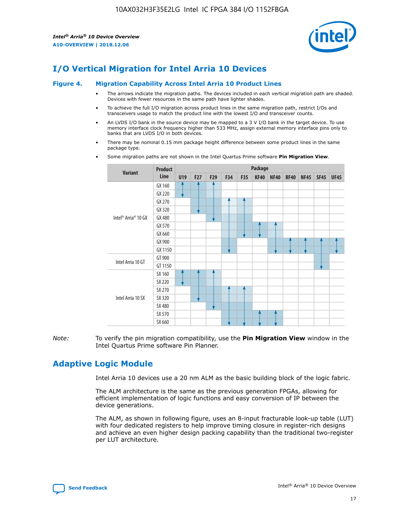

## **I/O Vertical Migration for Intel Arria 10 Devices**

#### **Figure 4. Migration Capability Across Intel Arria 10 Product Lines**

- The arrows indicate the migration paths. The devices included in each vertical migration path are shaded. Devices with fewer resources in the same path have lighter shades.
- To achieve the full I/O migration across product lines in the same migration path, restrict I/Os and transceivers usage to match the product line with the lowest I/O and transceiver counts.
- An LVDS I/O bank in the source device may be mapped to a 3 V I/O bank in the target device. To use memory interface clock frequency higher than 533 MHz, assign external memory interface pins only to banks that are LVDS I/O in both devices.
- There may be nominal 0.15 mm package height difference between some product lines in the same package type.
	- **Variant Product Line Package U19 F27 F29 F34 F35 KF40 NF40 RF40 NF45 SF45 UF45** Intel® Arria® 10 GX GX 160 GX 220 GX 270 GX 320 GX 480 GX 570 GX 660 GX 900 GX 1150 Intel Arria 10 GT GT 900 GT 1150 Intel Arria 10 SX SX 160 SX 220 SX 270 SX 320 SX 480 SX 570 SX 660
- Some migration paths are not shown in the Intel Quartus Prime software **Pin Migration View**.

*Note:* To verify the pin migration compatibility, use the **Pin Migration View** window in the Intel Quartus Prime software Pin Planner.

## **Adaptive Logic Module**

Intel Arria 10 devices use a 20 nm ALM as the basic building block of the logic fabric.

The ALM architecture is the same as the previous generation FPGAs, allowing for efficient implementation of logic functions and easy conversion of IP between the device generations.

The ALM, as shown in following figure, uses an 8-input fracturable look-up table (LUT) with four dedicated registers to help improve timing closure in register-rich designs and achieve an even higher design packing capability than the traditional two-register per LUT architecture.

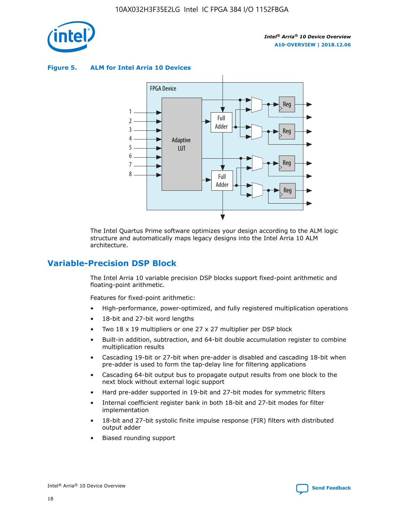

**Figure 5. ALM for Intel Arria 10 Devices**



The Intel Quartus Prime software optimizes your design according to the ALM logic structure and automatically maps legacy designs into the Intel Arria 10 ALM architecture.

## **Variable-Precision DSP Block**

The Intel Arria 10 variable precision DSP blocks support fixed-point arithmetic and floating-point arithmetic.

Features for fixed-point arithmetic:

- High-performance, power-optimized, and fully registered multiplication operations
- 18-bit and 27-bit word lengths
- Two 18 x 19 multipliers or one 27 x 27 multiplier per DSP block
- Built-in addition, subtraction, and 64-bit double accumulation register to combine multiplication results
- Cascading 19-bit or 27-bit when pre-adder is disabled and cascading 18-bit when pre-adder is used to form the tap-delay line for filtering applications
- Cascading 64-bit output bus to propagate output results from one block to the next block without external logic support
- Hard pre-adder supported in 19-bit and 27-bit modes for symmetric filters
- Internal coefficient register bank in both 18-bit and 27-bit modes for filter implementation
- 18-bit and 27-bit systolic finite impulse response (FIR) filters with distributed output adder
- Biased rounding support

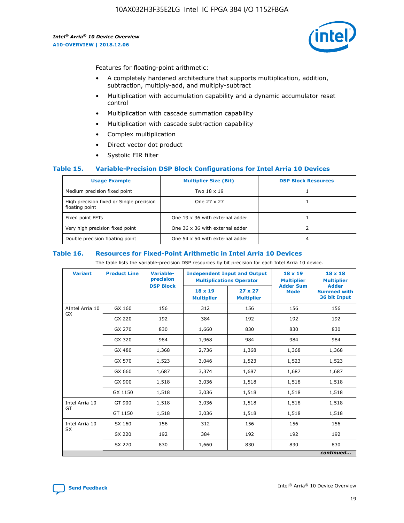

Features for floating-point arithmetic:

- A completely hardened architecture that supports multiplication, addition, subtraction, multiply-add, and multiply-subtract
- Multiplication with accumulation capability and a dynamic accumulator reset control
- Multiplication with cascade summation capability
- Multiplication with cascade subtraction capability
- Complex multiplication
- Direct vector dot product
- Systolic FIR filter

#### **Table 15. Variable-Precision DSP Block Configurations for Intel Arria 10 Devices**

| <b>Usage Example</b>                                       | <b>Multiplier Size (Bit)</b>    | <b>DSP Block Resources</b> |
|------------------------------------------------------------|---------------------------------|----------------------------|
| Medium precision fixed point                               | Two 18 x 19                     |                            |
| High precision fixed or Single precision<br>floating point | One 27 x 27                     |                            |
| Fixed point FFTs                                           | One 19 x 36 with external adder |                            |
| Very high precision fixed point                            | One 36 x 36 with external adder |                            |
| Double precision floating point                            | One 54 x 54 with external adder | 4                          |

#### **Table 16. Resources for Fixed-Point Arithmetic in Intel Arria 10 Devices**

The table lists the variable-precision DSP resources by bit precision for each Intel Arria 10 device.

| <b>Variant</b>  | <b>Product Line</b> | Variable-<br>precision<br><b>DSP Block</b> | <b>Independent Input and Output</b><br><b>Multiplications Operator</b> |                                     | 18 x 19<br><b>Multiplier</b><br><b>Adder Sum</b> | $18 \times 18$<br><b>Multiplier</b><br><b>Adder</b> |
|-----------------|---------------------|--------------------------------------------|------------------------------------------------------------------------|-------------------------------------|--------------------------------------------------|-----------------------------------------------------|
|                 |                     |                                            | 18 x 19<br><b>Multiplier</b>                                           | $27 \times 27$<br><b>Multiplier</b> | <b>Mode</b>                                      | <b>Summed with</b><br>36 bit Input                  |
| AIntel Arria 10 | GX 160              | 156                                        | 312                                                                    | 156                                 | 156                                              | 156                                                 |
| GX              | GX 220              | 192                                        | 384                                                                    | 192                                 | 192                                              | 192                                                 |
|                 | GX 270              | 830                                        | 1,660                                                                  | 830                                 | 830                                              | 830                                                 |
|                 | GX 320              | 984                                        | 1,968                                                                  | 984                                 | 984                                              | 984                                                 |
|                 | GX 480              | 1,368                                      | 2,736                                                                  | 1,368                               | 1,368                                            | 1,368                                               |
|                 | GX 570              | 1,523                                      | 3,046                                                                  | 1,523                               | 1,523                                            | 1,523                                               |
|                 | GX 660              | 1,687                                      | 3,374                                                                  | 1,687                               | 1,687                                            | 1,687                                               |
|                 | GX 900              | 1,518                                      | 3,036                                                                  | 1,518                               | 1,518                                            | 1,518                                               |
|                 | GX 1150             | 1,518                                      | 3,036                                                                  | 1,518                               | 1,518                                            | 1,518                                               |
| Intel Arria 10  | GT 900              | 1,518                                      | 3,036                                                                  | 1,518                               | 1,518                                            | 1,518                                               |
| GT              | GT 1150             | 1,518                                      | 3,036                                                                  | 1,518                               | 1,518                                            | 1,518                                               |
| Intel Arria 10  | SX 160              | 156                                        | 312                                                                    | 156                                 | 156                                              | 156                                                 |
| <b>SX</b>       | SX 220              | 192                                        | 384                                                                    | 192                                 | 192                                              | 192                                                 |
|                 | SX 270              | 830                                        | 1,660                                                                  | 830                                 | 830                                              | 830                                                 |
|                 |                     |                                            |                                                                        |                                     |                                                  | continued                                           |

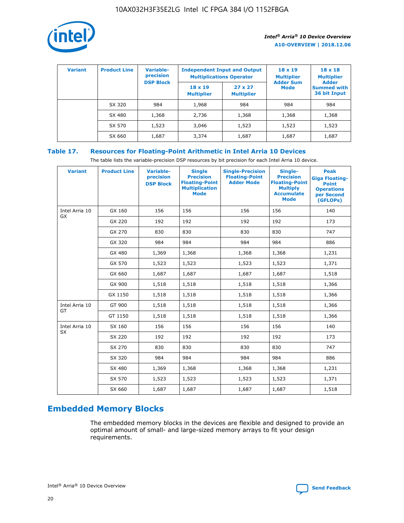

| <b>Variant</b> | <b>Product Line</b> | <b>Variable-</b><br>precision |                                     | <b>Independent Input and Output</b><br><b>Multiplications Operator</b> | $18 \times 19$<br><b>Multiplier</b> | $18 \times 18$<br><b>Multiplier</b><br><b>Adder</b> |  |
|----------------|---------------------|-------------------------------|-------------------------------------|------------------------------------------------------------------------|-------------------------------------|-----------------------------------------------------|--|
|                |                     | <b>DSP Block</b>              | $18 \times 19$<br><b>Multiplier</b> | $27 \times 27$<br><b>Multiplier</b>                                    | <b>Adder Sum</b><br>Mode            | <b>Summed with</b><br>36 bit Input                  |  |
|                | SX 320              | 984                           | 1,968                               | 984                                                                    | 984                                 | 984                                                 |  |
|                | SX 480              | 1,368                         | 2,736                               | 1,368                                                                  | 1,368                               | 1,368                                               |  |
|                | SX 570              | 1,523                         | 3,046                               | 1,523                                                                  | 1,523                               | 1,523                                               |  |
|                | SX 660              | 1,687                         | 3,374                               | 1,687                                                                  | 1,687                               | 1,687                                               |  |

## **Table 17. Resources for Floating-Point Arithmetic in Intel Arria 10 Devices**

The table lists the variable-precision DSP resources by bit precision for each Intel Arria 10 device.

| <b>Variant</b> | <b>Product Line</b> | <b>Variable-</b><br>precision<br><b>DSP Block</b> | <b>Single</b><br><b>Precision</b><br><b>Floating-Point</b><br><b>Multiplication</b><br><b>Mode</b> | <b>Single-Precision</b><br><b>Floating-Point</b><br><b>Adder Mode</b> | Single-<br><b>Precision</b><br><b>Floating-Point</b><br><b>Multiply</b><br><b>Accumulate</b><br><b>Mode</b> | <b>Peak</b><br><b>Giga Floating-</b><br><b>Point</b><br><b>Operations</b><br>per Second<br>(GFLOPs) |
|----------------|---------------------|---------------------------------------------------|----------------------------------------------------------------------------------------------------|-----------------------------------------------------------------------|-------------------------------------------------------------------------------------------------------------|-----------------------------------------------------------------------------------------------------|
| Intel Arria 10 | GX 160              | 156                                               | 156                                                                                                | 156                                                                   | 156                                                                                                         | 140                                                                                                 |
| GX             | GX 220              | 192                                               | 192                                                                                                | 192                                                                   | 192                                                                                                         | 173                                                                                                 |
|                | GX 270              | 830                                               | 830                                                                                                | 830                                                                   | 830                                                                                                         | 747                                                                                                 |
|                | GX 320              | 984                                               | 984                                                                                                | 984                                                                   | 984                                                                                                         | 886                                                                                                 |
|                | GX 480              | 1,369                                             | 1,368                                                                                              | 1,368                                                                 | 1,368                                                                                                       | 1,231                                                                                               |
|                | GX 570              | 1,523                                             | 1,523                                                                                              | 1,523                                                                 | 1,523                                                                                                       | 1,371                                                                                               |
|                | GX 660              | 1,687                                             | 1,687                                                                                              | 1,687                                                                 | 1,687                                                                                                       | 1,518                                                                                               |
|                | GX 900              | 1,518                                             | 1,518                                                                                              | 1,518                                                                 | 1,518                                                                                                       | 1,366                                                                                               |
|                | GX 1150             | 1,518                                             | 1,518                                                                                              | 1,518                                                                 | 1,518                                                                                                       | 1,366                                                                                               |
| Intel Arria 10 | GT 900              | 1,518                                             | 1,518                                                                                              | 1,518                                                                 | 1,518                                                                                                       | 1,366                                                                                               |
| GT             | GT 1150             | 1,518                                             | 1,518                                                                                              | 1,518                                                                 | 1,518                                                                                                       | 1,366                                                                                               |
| Intel Arria 10 | SX 160              | 156                                               | 156                                                                                                | 156                                                                   | 156                                                                                                         | 140                                                                                                 |
| <b>SX</b>      | SX 220              | 192                                               | 192                                                                                                | 192                                                                   | 192                                                                                                         | 173                                                                                                 |
|                | SX 270              | 830                                               | 830                                                                                                | 830                                                                   | 830                                                                                                         | 747                                                                                                 |
|                | SX 320              | 984                                               | 984                                                                                                | 984                                                                   | 984                                                                                                         | 886                                                                                                 |
|                | SX 480              | 1,369                                             | 1,368                                                                                              | 1,368                                                                 | 1,368                                                                                                       | 1,231                                                                                               |
|                | SX 570              | 1,523                                             | 1,523                                                                                              | 1,523                                                                 | 1,523                                                                                                       | 1,371                                                                                               |
|                | SX 660              | 1,687                                             | 1,687                                                                                              | 1,687                                                                 | 1,687                                                                                                       | 1,518                                                                                               |

# **Embedded Memory Blocks**

The embedded memory blocks in the devices are flexible and designed to provide an optimal amount of small- and large-sized memory arrays to fit your design requirements.

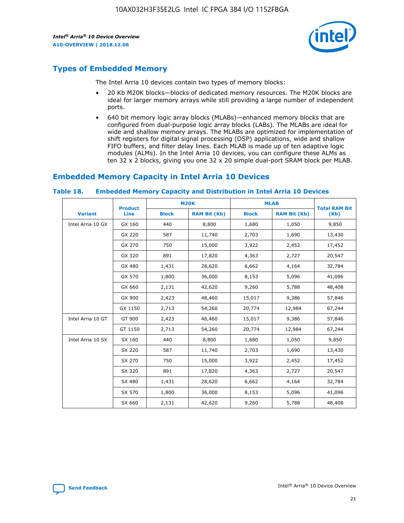

## **Types of Embedded Memory**

The Intel Arria 10 devices contain two types of memory blocks:

- 20 Kb M20K blocks—blocks of dedicated memory resources. The M20K blocks are ideal for larger memory arrays while still providing a large number of independent ports.
- 640 bit memory logic array blocks (MLABs)—enhanced memory blocks that are configured from dual-purpose logic array blocks (LABs). The MLABs are ideal for wide and shallow memory arrays. The MLABs are optimized for implementation of shift registers for digital signal processing (DSP) applications, wide and shallow FIFO buffers, and filter delay lines. Each MLAB is made up of ten adaptive logic modules (ALMs). In the Intel Arria 10 devices, you can configure these ALMs as ten 32 x 2 blocks, giving you one 32 x 20 simple dual-port SRAM block per MLAB.

## **Embedded Memory Capacity in Intel Arria 10 Devices**

|                   | <b>Product</b> |              | <b>M20K</b>         | <b>MLAB</b>  |                     | <b>Total RAM Bit</b> |
|-------------------|----------------|--------------|---------------------|--------------|---------------------|----------------------|
| <b>Variant</b>    | Line           | <b>Block</b> | <b>RAM Bit (Kb)</b> | <b>Block</b> | <b>RAM Bit (Kb)</b> | (Kb)                 |
| Intel Arria 10 GX | GX 160         | 440          | 8,800               | 1,680        | 1,050               | 9,850                |
|                   | GX 220         | 587          | 11,740              | 2,703        | 1,690               | 13,430               |
|                   | GX 270         | 750          | 15,000              | 3,922        | 2,452               | 17,452               |
|                   | GX 320         | 891          | 17,820              | 4,363        | 2,727               | 20,547               |
|                   | GX 480         | 1,431        | 28,620              | 6,662        | 4,164               | 32,784               |
|                   | GX 570         | 1,800        | 36,000              | 8,153        | 5,096               | 41,096               |
|                   | GX 660         | 2,131        | 42,620              | 9,260        | 5,788               | 48,408               |
|                   | GX 900         | 2,423        | 48,460              | 15,017       | 9,386               | 57,846               |
|                   | GX 1150        | 2,713        | 54,260              | 20,774       | 12,984              | 67,244               |
| Intel Arria 10 GT | GT 900         | 2,423        | 48,460              | 15,017       | 9,386               | 57,846               |
|                   | GT 1150        | 2,713        | 54,260              | 20,774       | 12,984              | 67,244               |
| Intel Arria 10 SX | SX 160         | 440          | 8,800               | 1,680        | 1,050               | 9,850                |
|                   | SX 220         | 587          | 11,740              | 2,703        | 1,690               | 13,430               |
|                   | SX 270         | 750          | 15,000              | 3,922        | 2,452               | 17,452               |
|                   | SX 320         | 891          | 17,820              | 4,363        | 2,727               | 20,547               |
|                   | SX 480         | 1,431        | 28,620              | 6,662        | 4,164               | 32,784               |
|                   | SX 570         | 1,800        | 36,000              | 8,153        | 5,096               | 41,096               |
|                   | SX 660         | 2,131        | 42,620              | 9,260        | 5,788               | 48,408               |

#### **Table 18. Embedded Memory Capacity and Distribution in Intel Arria 10 Devices**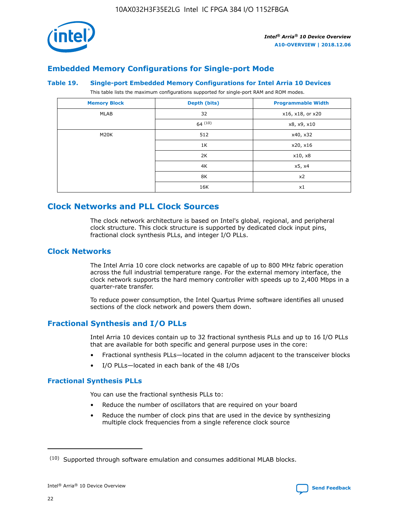

## **Embedded Memory Configurations for Single-port Mode**

#### **Table 19. Single-port Embedded Memory Configurations for Intel Arria 10 Devices**

This table lists the maximum configurations supported for single-port RAM and ROM modes.

| <b>Memory Block</b> | Depth (bits) | <b>Programmable Width</b> |
|---------------------|--------------|---------------------------|
| MLAB                | 32           | x16, x18, or x20          |
|                     | 64(10)       | x8, x9, x10               |
| M20K                | 512          | x40, x32                  |
|                     | 1K           | x20, x16                  |
|                     | 2K           | x10, x8                   |
|                     | 4K           | x5, x4                    |
|                     | 8K           | x2                        |
|                     | 16K          | x1                        |

## **Clock Networks and PLL Clock Sources**

The clock network architecture is based on Intel's global, regional, and peripheral clock structure. This clock structure is supported by dedicated clock input pins, fractional clock synthesis PLLs, and integer I/O PLLs.

#### **Clock Networks**

The Intel Arria 10 core clock networks are capable of up to 800 MHz fabric operation across the full industrial temperature range. For the external memory interface, the clock network supports the hard memory controller with speeds up to 2,400 Mbps in a quarter-rate transfer.

To reduce power consumption, the Intel Quartus Prime software identifies all unused sections of the clock network and powers them down.

#### **Fractional Synthesis and I/O PLLs**

Intel Arria 10 devices contain up to 32 fractional synthesis PLLs and up to 16 I/O PLLs that are available for both specific and general purpose uses in the core:

- Fractional synthesis PLLs—located in the column adjacent to the transceiver blocks
- I/O PLLs—located in each bank of the 48 I/Os

#### **Fractional Synthesis PLLs**

You can use the fractional synthesis PLLs to:

- Reduce the number of oscillators that are required on your board
- Reduce the number of clock pins that are used in the device by synthesizing multiple clock frequencies from a single reference clock source

<sup>(10)</sup> Supported through software emulation and consumes additional MLAB blocks.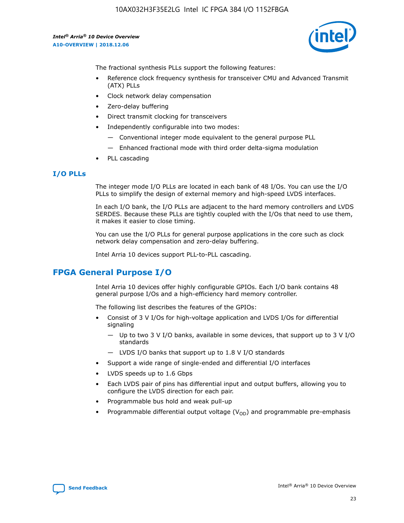

The fractional synthesis PLLs support the following features:

- Reference clock frequency synthesis for transceiver CMU and Advanced Transmit (ATX) PLLs
- Clock network delay compensation
- Zero-delay buffering
- Direct transmit clocking for transceivers
- Independently configurable into two modes:
	- Conventional integer mode equivalent to the general purpose PLL
	- Enhanced fractional mode with third order delta-sigma modulation
- PLL cascading

#### **I/O PLLs**

The integer mode I/O PLLs are located in each bank of 48 I/Os. You can use the I/O PLLs to simplify the design of external memory and high-speed LVDS interfaces.

In each I/O bank, the I/O PLLs are adjacent to the hard memory controllers and LVDS SERDES. Because these PLLs are tightly coupled with the I/Os that need to use them, it makes it easier to close timing.

You can use the I/O PLLs for general purpose applications in the core such as clock network delay compensation and zero-delay buffering.

Intel Arria 10 devices support PLL-to-PLL cascading.

## **FPGA General Purpose I/O**

Intel Arria 10 devices offer highly configurable GPIOs. Each I/O bank contains 48 general purpose I/Os and a high-efficiency hard memory controller.

The following list describes the features of the GPIOs:

- Consist of 3 V I/Os for high-voltage application and LVDS I/Os for differential signaling
	- Up to two 3 V I/O banks, available in some devices, that support up to 3 V I/O standards
	- LVDS I/O banks that support up to 1.8 V I/O standards
- Support a wide range of single-ended and differential I/O interfaces
- LVDS speeds up to 1.6 Gbps
- Each LVDS pair of pins has differential input and output buffers, allowing you to configure the LVDS direction for each pair.
- Programmable bus hold and weak pull-up
- Programmable differential output voltage  $(V_{OD})$  and programmable pre-emphasis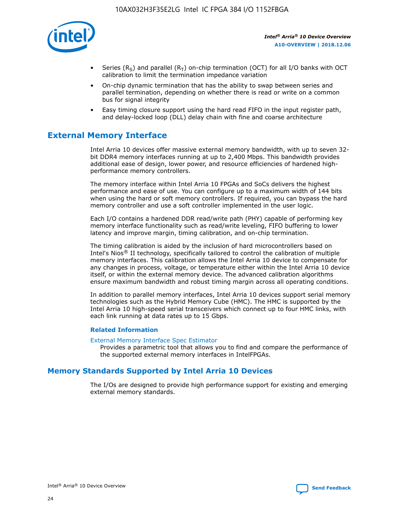

- Series (R<sub>S</sub>) and parallel (R<sub>T</sub>) on-chip termination (OCT) for all I/O banks with OCT calibration to limit the termination impedance variation
- On-chip dynamic termination that has the ability to swap between series and parallel termination, depending on whether there is read or write on a common bus for signal integrity
- Easy timing closure support using the hard read FIFO in the input register path, and delay-locked loop (DLL) delay chain with fine and coarse architecture

## **External Memory Interface**

Intel Arria 10 devices offer massive external memory bandwidth, with up to seven 32 bit DDR4 memory interfaces running at up to 2,400 Mbps. This bandwidth provides additional ease of design, lower power, and resource efficiencies of hardened highperformance memory controllers.

The memory interface within Intel Arria 10 FPGAs and SoCs delivers the highest performance and ease of use. You can configure up to a maximum width of 144 bits when using the hard or soft memory controllers. If required, you can bypass the hard memory controller and use a soft controller implemented in the user logic.

Each I/O contains a hardened DDR read/write path (PHY) capable of performing key memory interface functionality such as read/write leveling, FIFO buffering to lower latency and improve margin, timing calibration, and on-chip termination.

The timing calibration is aided by the inclusion of hard microcontrollers based on Intel's Nios® II technology, specifically tailored to control the calibration of multiple memory interfaces. This calibration allows the Intel Arria 10 device to compensate for any changes in process, voltage, or temperature either within the Intel Arria 10 device itself, or within the external memory device. The advanced calibration algorithms ensure maximum bandwidth and robust timing margin across all operating conditions.

In addition to parallel memory interfaces, Intel Arria 10 devices support serial memory technologies such as the Hybrid Memory Cube (HMC). The HMC is supported by the Intel Arria 10 high-speed serial transceivers which connect up to four HMC links, with each link running at data rates up to 15 Gbps.

#### **Related Information**

#### [External Memory Interface Spec Estimator](http://www.altera.com/technology/memory/estimator/mem-emif-index.html)

Provides a parametric tool that allows you to find and compare the performance of the supported external memory interfaces in IntelFPGAs.

## **Memory Standards Supported by Intel Arria 10 Devices**

The I/Os are designed to provide high performance support for existing and emerging external memory standards.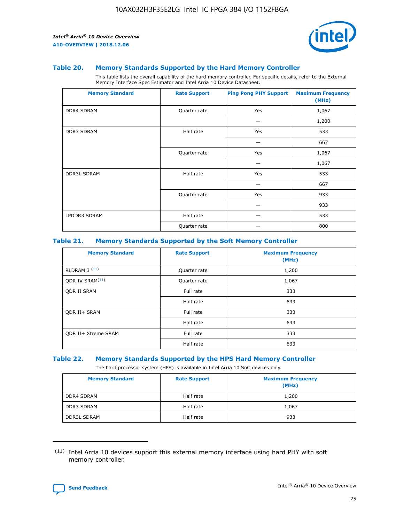

#### **Table 20. Memory Standards Supported by the Hard Memory Controller**

This table lists the overall capability of the hard memory controller. For specific details, refer to the External Memory Interface Spec Estimator and Intel Arria 10 Device Datasheet.

| <b>Memory Standard</b> | <b>Rate Support</b> | <b>Ping Pong PHY Support</b> | <b>Maximum Frequency</b><br>(MHz) |
|------------------------|---------------------|------------------------------|-----------------------------------|
| <b>DDR4 SDRAM</b>      | Quarter rate        | Yes                          | 1,067                             |
|                        |                     |                              | 1,200                             |
| DDR3 SDRAM             | Half rate           | Yes                          | 533                               |
|                        |                     |                              | 667                               |
|                        | Quarter rate        | Yes                          | 1,067                             |
|                        |                     |                              | 1,067                             |
| <b>DDR3L SDRAM</b>     | Half rate           | Yes                          | 533                               |
|                        |                     |                              | 667                               |
|                        | Quarter rate        | Yes                          | 933                               |
|                        |                     |                              | 933                               |
| LPDDR3 SDRAM           | Half rate           |                              | 533                               |
|                        | Quarter rate        |                              | 800                               |

#### **Table 21. Memory Standards Supported by the Soft Memory Controller**

| <b>Memory Standard</b>      | <b>Rate Support</b> | <b>Maximum Frequency</b><br>(MHz) |
|-----------------------------|---------------------|-----------------------------------|
| <b>RLDRAM 3 (11)</b>        | Quarter rate        | 1,200                             |
| ODR IV SRAM <sup>(11)</sup> | Quarter rate        | 1,067                             |
| <b>ODR II SRAM</b>          | Full rate           | 333                               |
|                             | Half rate           | 633                               |
| <b>ODR II+ SRAM</b>         | Full rate           | 333                               |
|                             | Half rate           | 633                               |
| <b>ODR II+ Xtreme SRAM</b>  | Full rate           | 333                               |
|                             | Half rate           | 633                               |

#### **Table 22. Memory Standards Supported by the HPS Hard Memory Controller**

The hard processor system (HPS) is available in Intel Arria 10 SoC devices only.

| <b>Memory Standard</b> | <b>Rate Support</b> | <b>Maximum Frequency</b><br>(MHz) |
|------------------------|---------------------|-----------------------------------|
| <b>DDR4 SDRAM</b>      | Half rate           | 1,200                             |
| <b>DDR3 SDRAM</b>      | Half rate           | 1,067                             |
| <b>DDR3L SDRAM</b>     | Half rate           | 933                               |

<sup>(11)</sup> Intel Arria 10 devices support this external memory interface using hard PHY with soft memory controller.

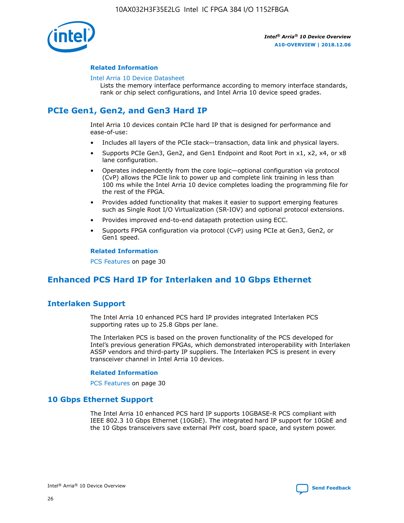

#### **Related Information**

#### [Intel Arria 10 Device Datasheet](https://www.intel.com/content/www/us/en/programmable/documentation/mcn1413182292568.html#mcn1413182153340)

Lists the memory interface performance according to memory interface standards, rank or chip select configurations, and Intel Arria 10 device speed grades.

## **PCIe Gen1, Gen2, and Gen3 Hard IP**

Intel Arria 10 devices contain PCIe hard IP that is designed for performance and ease-of-use:

- Includes all layers of the PCIe stack—transaction, data link and physical layers.
- Supports PCIe Gen3, Gen2, and Gen1 Endpoint and Root Port in x1, x2, x4, or x8 lane configuration.
- Operates independently from the core logic—optional configuration via protocol (CvP) allows the PCIe link to power up and complete link training in less than 100 ms while the Intel Arria 10 device completes loading the programming file for the rest of the FPGA.
- Provides added functionality that makes it easier to support emerging features such as Single Root I/O Virtualization (SR-IOV) and optional protocol extensions.
- Provides improved end-to-end datapath protection using ECC.
- Supports FPGA configuration via protocol (CvP) using PCIe at Gen3, Gen2, or Gen1 speed.

#### **Related Information**

PCS Features on page 30

## **Enhanced PCS Hard IP for Interlaken and 10 Gbps Ethernet**

## **Interlaken Support**

The Intel Arria 10 enhanced PCS hard IP provides integrated Interlaken PCS supporting rates up to 25.8 Gbps per lane.

The Interlaken PCS is based on the proven functionality of the PCS developed for Intel's previous generation FPGAs, which demonstrated interoperability with Interlaken ASSP vendors and third-party IP suppliers. The Interlaken PCS is present in every transceiver channel in Intel Arria 10 devices.

#### **Related Information**

PCS Features on page 30

#### **10 Gbps Ethernet Support**

The Intel Arria 10 enhanced PCS hard IP supports 10GBASE-R PCS compliant with IEEE 802.3 10 Gbps Ethernet (10GbE). The integrated hard IP support for 10GbE and the 10 Gbps transceivers save external PHY cost, board space, and system power.

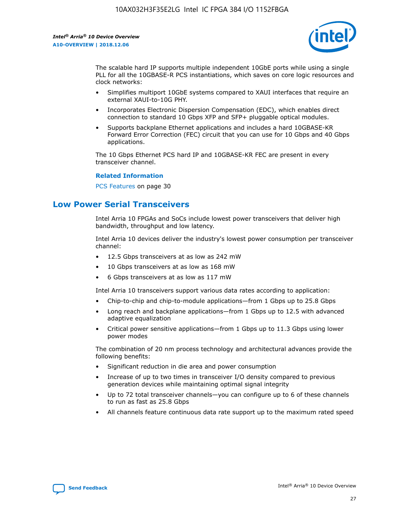

The scalable hard IP supports multiple independent 10GbE ports while using a single PLL for all the 10GBASE-R PCS instantiations, which saves on core logic resources and clock networks:

- Simplifies multiport 10GbE systems compared to XAUI interfaces that require an external XAUI-to-10G PHY.
- Incorporates Electronic Dispersion Compensation (EDC), which enables direct connection to standard 10 Gbps XFP and SFP+ pluggable optical modules.
- Supports backplane Ethernet applications and includes a hard 10GBASE-KR Forward Error Correction (FEC) circuit that you can use for 10 Gbps and 40 Gbps applications.

The 10 Gbps Ethernet PCS hard IP and 10GBASE-KR FEC are present in every transceiver channel.

#### **Related Information**

PCS Features on page 30

## **Low Power Serial Transceivers**

Intel Arria 10 FPGAs and SoCs include lowest power transceivers that deliver high bandwidth, throughput and low latency.

Intel Arria 10 devices deliver the industry's lowest power consumption per transceiver channel:

- 12.5 Gbps transceivers at as low as 242 mW
- 10 Gbps transceivers at as low as 168 mW
- 6 Gbps transceivers at as low as 117 mW

Intel Arria 10 transceivers support various data rates according to application:

- Chip-to-chip and chip-to-module applications—from 1 Gbps up to 25.8 Gbps
- Long reach and backplane applications—from 1 Gbps up to 12.5 with advanced adaptive equalization
- Critical power sensitive applications—from 1 Gbps up to 11.3 Gbps using lower power modes

The combination of 20 nm process technology and architectural advances provide the following benefits:

- Significant reduction in die area and power consumption
- Increase of up to two times in transceiver I/O density compared to previous generation devices while maintaining optimal signal integrity
- Up to 72 total transceiver channels—you can configure up to 6 of these channels to run as fast as 25.8 Gbps
- All channels feature continuous data rate support up to the maximum rated speed

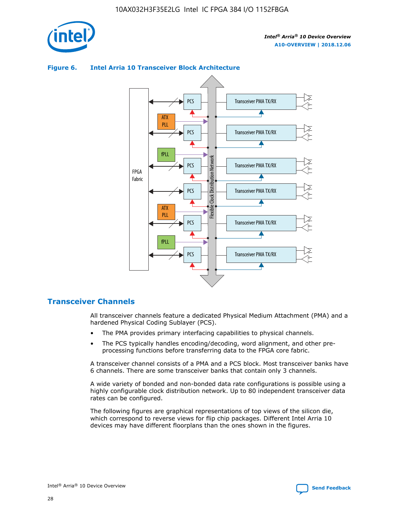

#### Transceiver PMA TX/RX PCS ATX PLL Transceiver PMA TX/RX PCS fPLL Network Flexible Clock Distribution Network PCS Transceiver PMA TX/RX FPGA **Clock Distribution** Fabric PCS Transceiver PMA TX/RX ATX Flexible PLL PCS Transceiver PMA TX/RX ▲ fPLL Transceiver PMA TX/RX PCS 4

#### **Figure 6. Intel Arria 10 Transceiver Block Architecture**

#### **Transceiver Channels**

All transceiver channels feature a dedicated Physical Medium Attachment (PMA) and a hardened Physical Coding Sublayer (PCS).

- The PMA provides primary interfacing capabilities to physical channels.
- The PCS typically handles encoding/decoding, word alignment, and other preprocessing functions before transferring data to the FPGA core fabric.

A transceiver channel consists of a PMA and a PCS block. Most transceiver banks have 6 channels. There are some transceiver banks that contain only 3 channels.

A wide variety of bonded and non-bonded data rate configurations is possible using a highly configurable clock distribution network. Up to 80 independent transceiver data rates can be configured.

The following figures are graphical representations of top views of the silicon die, which correspond to reverse views for flip chip packages. Different Intel Arria 10 devices may have different floorplans than the ones shown in the figures.

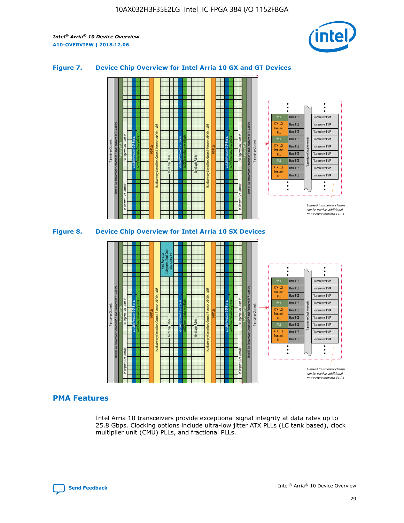

#### **Figure 7. Device Chip Overview for Intel Arria 10 GX and GT Devices**



#### **PMA Features**

Intel Arria 10 transceivers provide exceptional signal integrity at data rates up to 25.8 Gbps. Clocking options include ultra-low jitter ATX PLLs (LC tank based), clock multiplier unit (CMU) PLLs, and fractional PLLs.

Hard PCS Hard PCS Hard PCS Hard PCS Hard PCS

ATX (LC) Transmi PLL fPLL ATX (LC) **Transmit** PLL

Transceiver PMA Transceiver PMA Transceiver PMA

Transceiver PMA Transceiver PMA

Unused transceiver chann can be used as additional transceiver transmit PLLs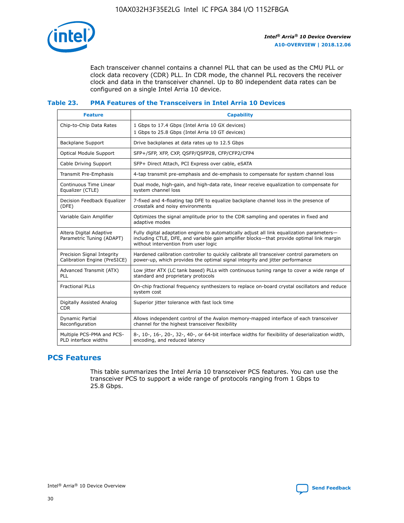

Each transceiver channel contains a channel PLL that can be used as the CMU PLL or clock data recovery (CDR) PLL. In CDR mode, the channel PLL recovers the receiver clock and data in the transceiver channel. Up to 80 independent data rates can be configured on a single Intel Arria 10 device.

#### **Table 23. PMA Features of the Transceivers in Intel Arria 10 Devices**

| <b>Feature</b>                                             | <b>Capability</b>                                                                                                                                                                                                             |
|------------------------------------------------------------|-------------------------------------------------------------------------------------------------------------------------------------------------------------------------------------------------------------------------------|
| Chip-to-Chip Data Rates                                    | 1 Gbps to 17.4 Gbps (Intel Arria 10 GX devices)<br>1 Gbps to 25.8 Gbps (Intel Arria 10 GT devices)                                                                                                                            |
| <b>Backplane Support</b>                                   | Drive backplanes at data rates up to 12.5 Gbps                                                                                                                                                                                |
| <b>Optical Module Support</b>                              | SFP+/SFP, XFP, CXP, QSFP/QSFP28, CFP/CFP2/CFP4                                                                                                                                                                                |
| Cable Driving Support                                      | SFP+ Direct Attach, PCI Express over cable, eSATA                                                                                                                                                                             |
| Transmit Pre-Emphasis                                      | 4-tap transmit pre-emphasis and de-emphasis to compensate for system channel loss                                                                                                                                             |
| Continuous Time Linear<br>Equalizer (CTLE)                 | Dual mode, high-gain, and high-data rate, linear receive equalization to compensate for<br>system channel loss                                                                                                                |
| Decision Feedback Equalizer<br>(DFE)                       | 7-fixed and 4-floating tap DFE to equalize backplane channel loss in the presence of<br>crosstalk and noisy environments                                                                                                      |
| Variable Gain Amplifier                                    | Optimizes the signal amplitude prior to the CDR sampling and operates in fixed and<br>adaptive modes                                                                                                                          |
| Altera Digital Adaptive<br>Parametric Tuning (ADAPT)       | Fully digital adaptation engine to automatically adjust all link equalization parameters-<br>including CTLE, DFE, and variable gain amplifier blocks—that provide optimal link margin<br>without intervention from user logic |
| Precision Signal Integrity<br>Calibration Engine (PreSICE) | Hardened calibration controller to quickly calibrate all transceiver control parameters on<br>power-up, which provides the optimal signal integrity and jitter performance                                                    |
| Advanced Transmit (ATX)<br>PLL                             | Low jitter ATX (LC tank based) PLLs with continuous tuning range to cover a wide range of<br>standard and proprietary protocols                                                                                               |
| <b>Fractional PLLs</b>                                     | On-chip fractional frequency synthesizers to replace on-board crystal oscillators and reduce<br>system cost                                                                                                                   |
| Digitally Assisted Analog<br><b>CDR</b>                    | Superior jitter tolerance with fast lock time                                                                                                                                                                                 |
| Dynamic Partial<br>Reconfiguration                         | Allows independent control of the Avalon memory-mapped interface of each transceiver<br>channel for the highest transceiver flexibility                                                                                       |
| Multiple PCS-PMA and PCS-<br>PLD interface widths          | 8-, 10-, 16-, 20-, 32-, 40-, or 64-bit interface widths for flexibility of deserialization width,<br>encoding, and reduced latency                                                                                            |

## **PCS Features**

This table summarizes the Intel Arria 10 transceiver PCS features. You can use the transceiver PCS to support a wide range of protocols ranging from 1 Gbps to 25.8 Gbps.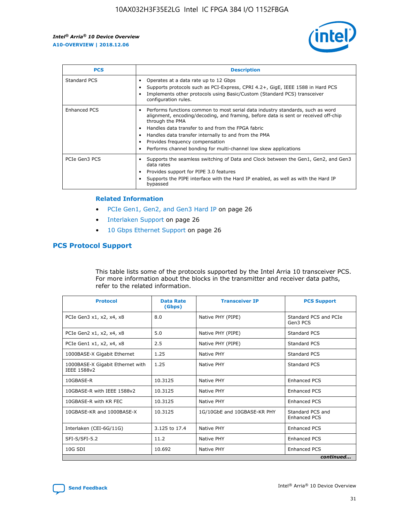

| <b>PCS</b>    | <b>Description</b>                                                                                                                                                                                                                                                                                                                                                                                             |
|---------------|----------------------------------------------------------------------------------------------------------------------------------------------------------------------------------------------------------------------------------------------------------------------------------------------------------------------------------------------------------------------------------------------------------------|
| Standard PCS  | Operates at a data rate up to 12 Gbps<br>Supports protocols such as PCI-Express, CPRI 4.2+, GigE, IEEE 1588 in Hard PCS<br>Implements other protocols using Basic/Custom (Standard PCS) transceiver<br>configuration rules.                                                                                                                                                                                    |
| Enhanced PCS  | Performs functions common to most serial data industry standards, such as word<br>alignment, encoding/decoding, and framing, before data is sent or received off-chip<br>through the PMA<br>• Handles data transfer to and from the FPGA fabric<br>Handles data transfer internally to and from the PMA<br>Provides frequency compensation<br>Performs channel bonding for multi-channel low skew applications |
| PCIe Gen3 PCS | Supports the seamless switching of Data and Clock between the Gen1, Gen2, and Gen3<br>data rates<br>Provides support for PIPE 3.0 features<br>Supports the PIPE interface with the Hard IP enabled, as well as with the Hard IP<br>bypassed                                                                                                                                                                    |

#### **Related Information**

- PCIe Gen1, Gen2, and Gen3 Hard IP on page 26
- Interlaken Support on page 26
- 10 Gbps Ethernet Support on page 26

## **PCS Protocol Support**

This table lists some of the protocols supported by the Intel Arria 10 transceiver PCS. For more information about the blocks in the transmitter and receiver data paths, refer to the related information.

| <b>Protocol</b>                                 | <b>Data Rate</b><br>(Gbps) | <b>Transceiver IP</b>       | <b>PCS Support</b>                      |
|-------------------------------------------------|----------------------------|-----------------------------|-----------------------------------------|
| PCIe Gen3 x1, x2, x4, x8                        | 8.0                        | Native PHY (PIPE)           | Standard PCS and PCIe<br>Gen3 PCS       |
| PCIe Gen2 x1, x2, x4, x8                        | 5.0                        | Native PHY (PIPE)           | <b>Standard PCS</b>                     |
| PCIe Gen1 x1, x2, x4, x8                        | 2.5                        | Native PHY (PIPE)           | Standard PCS                            |
| 1000BASE-X Gigabit Ethernet                     | 1.25                       | Native PHY                  | <b>Standard PCS</b>                     |
| 1000BASE-X Gigabit Ethernet with<br>IEEE 1588v2 | 1.25                       | Native PHY                  | Standard PCS                            |
| 10GBASE-R                                       | 10.3125                    | Native PHY                  | <b>Enhanced PCS</b>                     |
| 10GBASE-R with IEEE 1588v2                      | 10.3125                    | Native PHY                  | <b>Enhanced PCS</b>                     |
| 10GBASE-R with KR FEC                           | 10.3125                    | Native PHY                  | <b>Enhanced PCS</b>                     |
| 10GBASE-KR and 1000BASE-X                       | 10.3125                    | 1G/10GbE and 10GBASE-KR PHY | Standard PCS and<br><b>Enhanced PCS</b> |
| Interlaken (CEI-6G/11G)                         | 3.125 to 17.4              | Native PHY                  | <b>Enhanced PCS</b>                     |
| SFI-S/SFI-5.2                                   | 11.2                       | Native PHY                  | <b>Enhanced PCS</b>                     |
| $10G$ SDI                                       | 10.692                     | Native PHY                  | <b>Enhanced PCS</b>                     |
|                                                 |                            |                             | continued                               |

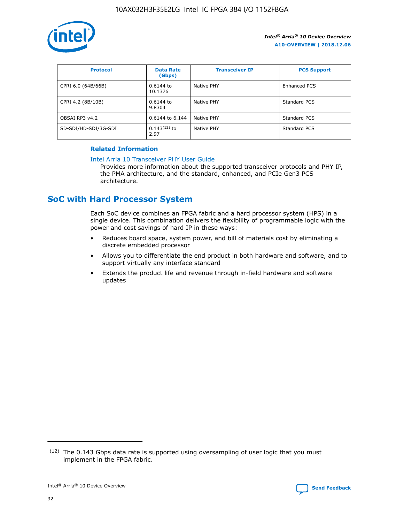

| <b>Protocol</b>      | <b>Data Rate</b><br>(Gbps) | <b>Transceiver IP</b> | <b>PCS Support</b> |
|----------------------|----------------------------|-----------------------|--------------------|
| CPRI 6.0 (64B/66B)   | 0.6144 to<br>10.1376       | Native PHY            | Enhanced PCS       |
| CPRI 4.2 (8B/10B)    | 0.6144 to<br>9.8304        | Native PHY            | Standard PCS       |
| OBSAI RP3 v4.2       | 0.6144 to 6.144            | Native PHY            | Standard PCS       |
| SD-SDI/HD-SDI/3G-SDI | $0.143(12)$ to<br>2.97     | Native PHY            | Standard PCS       |

#### **Related Information**

#### [Intel Arria 10 Transceiver PHY User Guide](https://www.intel.com/content/www/us/en/programmable/documentation/nik1398707230472.html#nik1398707091164)

Provides more information about the supported transceiver protocols and PHY IP, the PMA architecture, and the standard, enhanced, and PCIe Gen3 PCS architecture.

## **SoC with Hard Processor System**

Each SoC device combines an FPGA fabric and a hard processor system (HPS) in a single device. This combination delivers the flexibility of programmable logic with the power and cost savings of hard IP in these ways:

- Reduces board space, system power, and bill of materials cost by eliminating a discrete embedded processor
- Allows you to differentiate the end product in both hardware and software, and to support virtually any interface standard
- Extends the product life and revenue through in-field hardware and software updates

 $(12)$  The 0.143 Gbps data rate is supported using oversampling of user logic that you must implement in the FPGA fabric.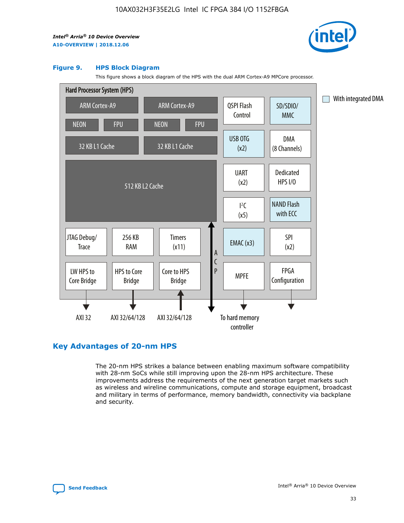

#### **Figure 9. HPS Block Diagram**

This figure shows a block diagram of the HPS with the dual ARM Cortex-A9 MPCore processor.



## **Key Advantages of 20-nm HPS**

The 20-nm HPS strikes a balance between enabling maximum software compatibility with 28-nm SoCs while still improving upon the 28-nm HPS architecture. These improvements address the requirements of the next generation target markets such as wireless and wireline communications, compute and storage equipment, broadcast and military in terms of performance, memory bandwidth, connectivity via backplane and security.

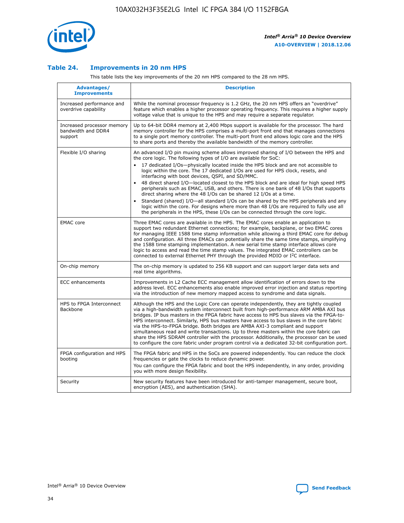

#### **Table 24. Improvements in 20 nm HPS**

This table lists the key improvements of the 20 nm HPS compared to the 28 nm HPS.

| Advantages/<br><b>Improvements</b>                          | <b>Description</b>                                                                                                                                                                                                                                                                                                                                                                                                                                                                                                                                                                                                                                                                                                                                                                                                                                                                                                                                |
|-------------------------------------------------------------|---------------------------------------------------------------------------------------------------------------------------------------------------------------------------------------------------------------------------------------------------------------------------------------------------------------------------------------------------------------------------------------------------------------------------------------------------------------------------------------------------------------------------------------------------------------------------------------------------------------------------------------------------------------------------------------------------------------------------------------------------------------------------------------------------------------------------------------------------------------------------------------------------------------------------------------------------|
| Increased performance and<br>overdrive capability           | While the nominal processor frequency is 1.2 GHz, the 20 nm HPS offers an "overdrive"<br>feature which enables a higher processor operating frequency. This requires a higher supply<br>voltage value that is unique to the HPS and may require a separate regulator.                                                                                                                                                                                                                                                                                                                                                                                                                                                                                                                                                                                                                                                                             |
| Increased processor memory<br>bandwidth and DDR4<br>support | Up to 64-bit DDR4 memory at 2,400 Mbps support is available for the processor. The hard<br>memory controller for the HPS comprises a multi-port front end that manages connections<br>to a single port memory controller. The multi-port front end allows logic core and the HPS<br>to share ports and thereby the available bandwidth of the memory controller.                                                                                                                                                                                                                                                                                                                                                                                                                                                                                                                                                                                  |
| Flexible I/O sharing                                        | An advanced I/O pin muxing scheme allows improved sharing of I/O between the HPS and<br>the core logic. The following types of I/O are available for SoC:<br>17 dedicated I/Os-physically located inside the HPS block and are not accessible to<br>$\bullet$<br>logic within the core. The 17 dedicated I/Os are used for HPS clock, resets, and<br>interfacing with boot devices, QSPI, and SD/MMC.<br>48 direct shared I/O-located closest to the HPS block and are ideal for high speed HPS<br>$\bullet$<br>peripherals such as EMAC, USB, and others. There is one bank of 48 I/Os that supports<br>direct sharing where the 48 I/Os can be shared 12 I/Os at a time.<br>Standard (shared) I/O-all standard I/Os can be shared by the HPS peripherals and any<br>logic within the core. For designs where more than 48 I/Os are reguired to fully use all<br>the peripherals in the HPS, these I/Os can be connected through the core logic. |
| <b>EMAC</b> core                                            | Three EMAC cores are available in the HPS. The EMAC cores enable an application to<br>support two redundant Ethernet connections; for example, backplane, or two EMAC cores<br>for managing IEEE 1588 time stamp information while allowing a third EMAC core for debug<br>and configuration. All three EMACs can potentially share the same time stamps, simplifying<br>the 1588 time stamping implementation. A new serial time stamp interface allows core<br>logic to access and read the time stamp values. The integrated EMAC controllers can be<br>connected to external Ethernet PHY through the provided MDIO or I <sup>2</sup> C interface.                                                                                                                                                                                                                                                                                            |
| On-chip memory                                              | The on-chip memory is updated to 256 KB support and can support larger data sets and<br>real time algorithms.                                                                                                                                                                                                                                                                                                                                                                                                                                                                                                                                                                                                                                                                                                                                                                                                                                     |
| <b>ECC</b> enhancements                                     | Improvements in L2 Cache ECC management allow identification of errors down to the<br>address level. ECC enhancements also enable improved error injection and status reporting<br>via the introduction of new memory mapped access to syndrome and data signals.                                                                                                                                                                                                                                                                                                                                                                                                                                                                                                                                                                                                                                                                                 |
| HPS to FPGA Interconnect<br>Backbone                        | Although the HPS and the Logic Core can operate independently, they are tightly coupled<br>via a high-bandwidth system interconnect built from high-performance ARM AMBA AXI bus<br>bridges. IP bus masters in the FPGA fabric have access to HPS bus slaves via the FPGA-to-<br>HPS interconnect. Similarly, HPS bus masters have access to bus slaves in the core fabric<br>via the HPS-to-FPGA bridge. Both bridges are AMBA AXI-3 compliant and support<br>simultaneous read and write transactions. Up to three masters within the core fabric can<br>share the HPS SDRAM controller with the processor. Additionally, the processor can be used<br>to configure the core fabric under program control via a dedicated 32-bit configuration port.                                                                                                                                                                                            |
| FPGA configuration and HPS<br>booting                       | The FPGA fabric and HPS in the SoCs are powered independently. You can reduce the clock<br>frequencies or gate the clocks to reduce dynamic power.<br>You can configure the FPGA fabric and boot the HPS independently, in any order, providing<br>you with more design flexibility.                                                                                                                                                                                                                                                                                                                                                                                                                                                                                                                                                                                                                                                              |
| Security                                                    | New security features have been introduced for anti-tamper management, secure boot,<br>encryption (AES), and authentication (SHA).                                                                                                                                                                                                                                                                                                                                                                                                                                                                                                                                                                                                                                                                                                                                                                                                                |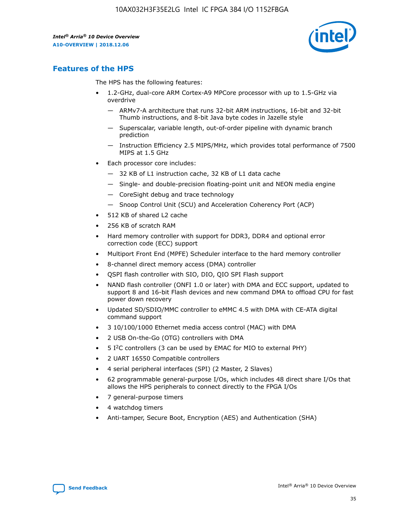

## **Features of the HPS**

The HPS has the following features:

- 1.2-GHz, dual-core ARM Cortex-A9 MPCore processor with up to 1.5-GHz via overdrive
	- ARMv7-A architecture that runs 32-bit ARM instructions, 16-bit and 32-bit Thumb instructions, and 8-bit Java byte codes in Jazelle style
	- Superscalar, variable length, out-of-order pipeline with dynamic branch prediction
	- Instruction Efficiency 2.5 MIPS/MHz, which provides total performance of 7500 MIPS at 1.5 GHz
- Each processor core includes:
	- 32 KB of L1 instruction cache, 32 KB of L1 data cache
	- Single- and double-precision floating-point unit and NEON media engine
	- CoreSight debug and trace technology
	- Snoop Control Unit (SCU) and Acceleration Coherency Port (ACP)
- 512 KB of shared L2 cache
- 256 KB of scratch RAM
- Hard memory controller with support for DDR3, DDR4 and optional error correction code (ECC) support
- Multiport Front End (MPFE) Scheduler interface to the hard memory controller
- 8-channel direct memory access (DMA) controller
- QSPI flash controller with SIO, DIO, QIO SPI Flash support
- NAND flash controller (ONFI 1.0 or later) with DMA and ECC support, updated to support 8 and 16-bit Flash devices and new command DMA to offload CPU for fast power down recovery
- Updated SD/SDIO/MMC controller to eMMC 4.5 with DMA with CE-ATA digital command support
- 3 10/100/1000 Ethernet media access control (MAC) with DMA
- 2 USB On-the-Go (OTG) controllers with DMA
- $\bullet$  5 I<sup>2</sup>C controllers (3 can be used by EMAC for MIO to external PHY)
- 2 UART 16550 Compatible controllers
- 4 serial peripheral interfaces (SPI) (2 Master, 2 Slaves)
- 62 programmable general-purpose I/Os, which includes 48 direct share I/Os that allows the HPS peripherals to connect directly to the FPGA I/Os
- 7 general-purpose timers
- 4 watchdog timers
- Anti-tamper, Secure Boot, Encryption (AES) and Authentication (SHA)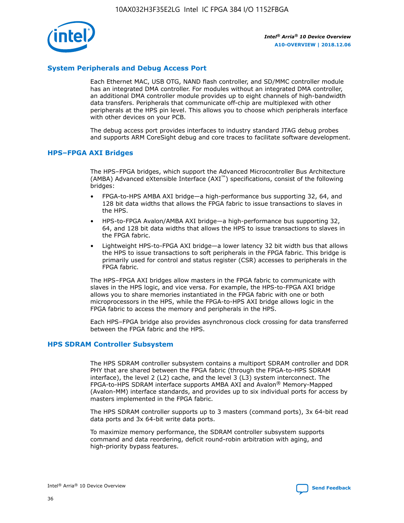

#### **System Peripherals and Debug Access Port**

Each Ethernet MAC, USB OTG, NAND flash controller, and SD/MMC controller module has an integrated DMA controller. For modules without an integrated DMA controller, an additional DMA controller module provides up to eight channels of high-bandwidth data transfers. Peripherals that communicate off-chip are multiplexed with other peripherals at the HPS pin level. This allows you to choose which peripherals interface with other devices on your PCB.

The debug access port provides interfaces to industry standard JTAG debug probes and supports ARM CoreSight debug and core traces to facilitate software development.

#### **HPS–FPGA AXI Bridges**

The HPS–FPGA bridges, which support the Advanced Microcontroller Bus Architecture (AMBA) Advanced eXtensible Interface (AXI™) specifications, consist of the following bridges:

- FPGA-to-HPS AMBA AXI bridge—a high-performance bus supporting 32, 64, and 128 bit data widths that allows the FPGA fabric to issue transactions to slaves in the HPS.
- HPS-to-FPGA Avalon/AMBA AXI bridge—a high-performance bus supporting 32, 64, and 128 bit data widths that allows the HPS to issue transactions to slaves in the FPGA fabric.
- Lightweight HPS-to-FPGA AXI bridge—a lower latency 32 bit width bus that allows the HPS to issue transactions to soft peripherals in the FPGA fabric. This bridge is primarily used for control and status register (CSR) accesses to peripherals in the FPGA fabric.

The HPS–FPGA AXI bridges allow masters in the FPGA fabric to communicate with slaves in the HPS logic, and vice versa. For example, the HPS-to-FPGA AXI bridge allows you to share memories instantiated in the FPGA fabric with one or both microprocessors in the HPS, while the FPGA-to-HPS AXI bridge allows logic in the FPGA fabric to access the memory and peripherals in the HPS.

Each HPS–FPGA bridge also provides asynchronous clock crossing for data transferred between the FPGA fabric and the HPS.

#### **HPS SDRAM Controller Subsystem**

The HPS SDRAM controller subsystem contains a multiport SDRAM controller and DDR PHY that are shared between the FPGA fabric (through the FPGA-to-HPS SDRAM interface), the level 2 (L2) cache, and the level 3 (L3) system interconnect. The FPGA-to-HPS SDRAM interface supports AMBA AXI and Avalon® Memory-Mapped (Avalon-MM) interface standards, and provides up to six individual ports for access by masters implemented in the FPGA fabric.

The HPS SDRAM controller supports up to 3 masters (command ports), 3x 64-bit read data ports and 3x 64-bit write data ports.

To maximize memory performance, the SDRAM controller subsystem supports command and data reordering, deficit round-robin arbitration with aging, and high-priority bypass features.

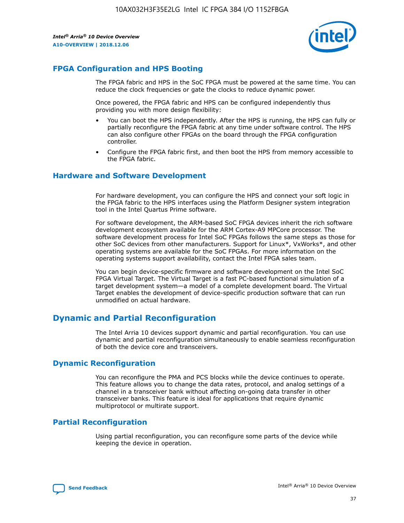

## **FPGA Configuration and HPS Booting**

The FPGA fabric and HPS in the SoC FPGA must be powered at the same time. You can reduce the clock frequencies or gate the clocks to reduce dynamic power.

Once powered, the FPGA fabric and HPS can be configured independently thus providing you with more design flexibility:

- You can boot the HPS independently. After the HPS is running, the HPS can fully or partially reconfigure the FPGA fabric at any time under software control. The HPS can also configure other FPGAs on the board through the FPGA configuration controller.
- Configure the FPGA fabric first, and then boot the HPS from memory accessible to the FPGA fabric.

#### **Hardware and Software Development**

For hardware development, you can configure the HPS and connect your soft logic in the FPGA fabric to the HPS interfaces using the Platform Designer system integration tool in the Intel Quartus Prime software.

For software development, the ARM-based SoC FPGA devices inherit the rich software development ecosystem available for the ARM Cortex-A9 MPCore processor. The software development process for Intel SoC FPGAs follows the same steps as those for other SoC devices from other manufacturers. Support for Linux\*, VxWorks\*, and other operating systems are available for the SoC FPGAs. For more information on the operating systems support availability, contact the Intel FPGA sales team.

You can begin device-specific firmware and software development on the Intel SoC FPGA Virtual Target. The Virtual Target is a fast PC-based functional simulation of a target development system—a model of a complete development board. The Virtual Target enables the development of device-specific production software that can run unmodified on actual hardware.

## **Dynamic and Partial Reconfiguration**

The Intel Arria 10 devices support dynamic and partial reconfiguration. You can use dynamic and partial reconfiguration simultaneously to enable seamless reconfiguration of both the device core and transceivers.

## **Dynamic Reconfiguration**

You can reconfigure the PMA and PCS blocks while the device continues to operate. This feature allows you to change the data rates, protocol, and analog settings of a channel in a transceiver bank without affecting on-going data transfer in other transceiver banks. This feature is ideal for applications that require dynamic multiprotocol or multirate support.

## **Partial Reconfiguration**

Using partial reconfiguration, you can reconfigure some parts of the device while keeping the device in operation.

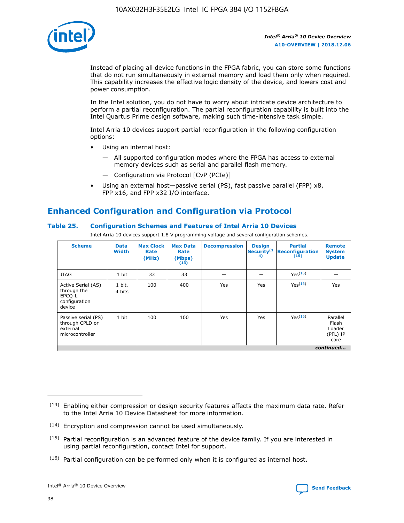

Instead of placing all device functions in the FPGA fabric, you can store some functions that do not run simultaneously in external memory and load them only when required. This capability increases the effective logic density of the device, and lowers cost and power consumption.

In the Intel solution, you do not have to worry about intricate device architecture to perform a partial reconfiguration. The partial reconfiguration capability is built into the Intel Quartus Prime design software, making such time-intensive task simple.

Intel Arria 10 devices support partial reconfiguration in the following configuration options:

- Using an internal host:
	- All supported configuration modes where the FPGA has access to external memory devices such as serial and parallel flash memory.
	- Configuration via Protocol [CvP (PCIe)]
- Using an external host—passive serial (PS), fast passive parallel (FPP) x8, FPP x16, and FPP x32 I/O interface.

## **Enhanced Configuration and Configuration via Protocol**

#### **Table 25. Configuration Schemes and Features of Intel Arria 10 Devices**

Intel Arria 10 devices support 1.8 V programming voltage and several configuration schemes.

| <b>Scheme</b>                                                          | <b>Data</b><br><b>Width</b> | <b>Max Clock</b><br>Rate<br>(MHz) | <b>Max Data</b><br>Rate<br>(Mbps)<br>(13) | <b>Decompression</b> | <b>Design</b><br>Security <sup>(1</sup><br>4) | <b>Partial</b><br>Reconfiguration<br>(15) | <b>Remote</b><br><b>System</b><br><b>Update</b> |
|------------------------------------------------------------------------|-----------------------------|-----------------------------------|-------------------------------------------|----------------------|-----------------------------------------------|-------------------------------------------|-------------------------------------------------|
| <b>JTAG</b>                                                            | 1 bit                       | 33                                | 33                                        |                      |                                               | Yes(16)                                   |                                                 |
| Active Serial (AS)<br>through the<br>EPCO-L<br>configuration<br>device | 1 bit,<br>4 bits            | 100                               | 400                                       | Yes                  | Yes                                           | Yes(16)                                   | Yes                                             |
| Passive serial (PS)<br>through CPLD or<br>external<br>microcontroller  | 1 bit                       | 100                               | 100                                       | Yes                  | Yes                                           | Yes <sup>(16)</sup>                       | Parallel<br>Flash<br>Loader<br>(PFL) IP<br>core |
|                                                                        |                             |                                   |                                           |                      |                                               |                                           | continued                                       |

<sup>(13)</sup> Enabling either compression or design security features affects the maximum data rate. Refer to the Intel Arria 10 Device Datasheet for more information.

<sup>(14)</sup> Encryption and compression cannot be used simultaneously.

 $(15)$  Partial reconfiguration is an advanced feature of the device family. If you are interested in using partial reconfiguration, contact Intel for support.

 $(16)$  Partial configuration can be performed only when it is configured as internal host.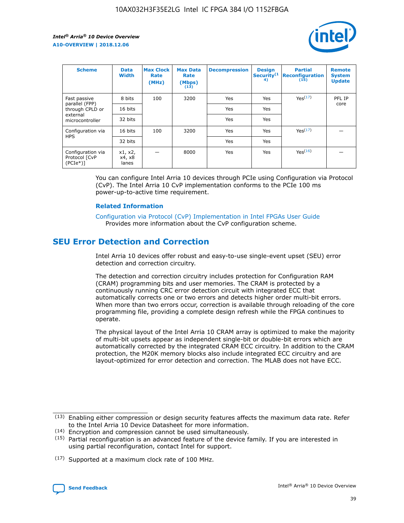

| <b>Scheme</b>                                   | <b>Data</b><br><b>Width</b> | <b>Max Clock</b><br>Rate<br>(MHz) | <b>Max Data</b><br>Rate<br>(Mbps)<br>(13) | <b>Decompression</b> | <b>Design</b><br>Security <sup>(1</sup><br>4) | <b>Partial</b><br><b>Reconfiguration</b><br>(15) | <b>Remote</b><br><b>System</b><br><b>Update</b> |
|-------------------------------------------------|-----------------------------|-----------------------------------|-------------------------------------------|----------------------|-----------------------------------------------|--------------------------------------------------|-------------------------------------------------|
| Fast passive                                    | 8 bits                      | 100                               | 3200                                      | Yes                  | Yes                                           | Yes(17)                                          | PFL IP                                          |
| parallel (FPP)<br>through CPLD or               | 16 bits                     |                                   |                                           | Yes                  | Yes                                           |                                                  | core                                            |
| external<br>microcontroller                     | 32 bits                     |                                   |                                           | Yes                  | Yes                                           |                                                  |                                                 |
| Configuration via                               | 16 bits                     | 100                               | 3200                                      | Yes                  | Yes                                           | Yes <sup>(17)</sup>                              |                                                 |
| <b>HPS</b>                                      | 32 bits                     |                                   |                                           | Yes                  | Yes                                           |                                                  |                                                 |
| Configuration via<br>Protocol [CvP<br>$(PCIe*)$ | x1, x2,<br>x4, x8<br>lanes  |                                   | 8000                                      | Yes                  | Yes                                           | Yes <sup>(16)</sup>                              |                                                 |

You can configure Intel Arria 10 devices through PCIe using Configuration via Protocol (CvP). The Intel Arria 10 CvP implementation conforms to the PCIe 100 ms power-up-to-active time requirement.

#### **Related Information**

[Configuration via Protocol \(CvP\) Implementation in Intel FPGAs User Guide](https://www.intel.com/content/www/us/en/programmable/documentation/dsu1441819344145.html#dsu1442269728522) Provides more information about the CvP configuration scheme.

## **SEU Error Detection and Correction**

Intel Arria 10 devices offer robust and easy-to-use single-event upset (SEU) error detection and correction circuitry.

The detection and correction circuitry includes protection for Configuration RAM (CRAM) programming bits and user memories. The CRAM is protected by a continuously running CRC error detection circuit with integrated ECC that automatically corrects one or two errors and detects higher order multi-bit errors. When more than two errors occur, correction is available through reloading of the core programming file, providing a complete design refresh while the FPGA continues to operate.

The physical layout of the Intel Arria 10 CRAM array is optimized to make the majority of multi-bit upsets appear as independent single-bit or double-bit errors which are automatically corrected by the integrated CRAM ECC circuitry. In addition to the CRAM protection, the M20K memory blocks also include integrated ECC circuitry and are layout-optimized for error detection and correction. The MLAB does not have ECC.

(14) Encryption and compression cannot be used simultaneously.

<sup>(17)</sup> Supported at a maximum clock rate of 100 MHz.



 $(13)$  Enabling either compression or design security features affects the maximum data rate. Refer to the Intel Arria 10 Device Datasheet for more information.

 $(15)$  Partial reconfiguration is an advanced feature of the device family. If you are interested in using partial reconfiguration, contact Intel for support.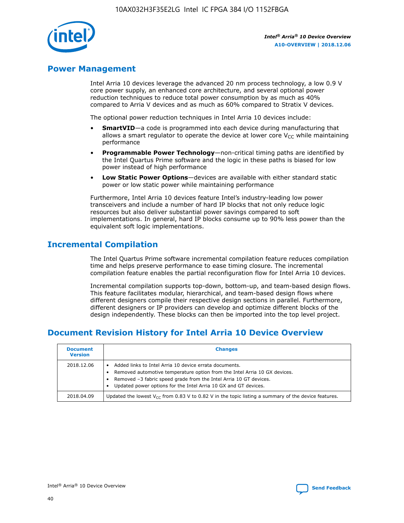

## **Power Management**

Intel Arria 10 devices leverage the advanced 20 nm process technology, a low 0.9 V core power supply, an enhanced core architecture, and several optional power reduction techniques to reduce total power consumption by as much as 40% compared to Arria V devices and as much as 60% compared to Stratix V devices.

The optional power reduction techniques in Intel Arria 10 devices include:

- **SmartVID**—a code is programmed into each device during manufacturing that allows a smart regulator to operate the device at lower core  $V_{CC}$  while maintaining performance
- **Programmable Power Technology**—non-critical timing paths are identified by the Intel Quartus Prime software and the logic in these paths is biased for low power instead of high performance
- **Low Static Power Options**—devices are available with either standard static power or low static power while maintaining performance

Furthermore, Intel Arria 10 devices feature Intel's industry-leading low power transceivers and include a number of hard IP blocks that not only reduce logic resources but also deliver substantial power savings compared to soft implementations. In general, hard IP blocks consume up to 90% less power than the equivalent soft logic implementations.

## **Incremental Compilation**

The Intel Quartus Prime software incremental compilation feature reduces compilation time and helps preserve performance to ease timing closure. The incremental compilation feature enables the partial reconfiguration flow for Intel Arria 10 devices.

Incremental compilation supports top-down, bottom-up, and team-based design flows. This feature facilitates modular, hierarchical, and team-based design flows where different designers compile their respective design sections in parallel. Furthermore, different designers or IP providers can develop and optimize different blocks of the design independently. These blocks can then be imported into the top level project.

## **Document Revision History for Intel Arria 10 Device Overview**

| <b>Document</b><br><b>Version</b> | <b>Changes</b>                                                                                                                                                                                                                                                              |
|-----------------------------------|-----------------------------------------------------------------------------------------------------------------------------------------------------------------------------------------------------------------------------------------------------------------------------|
| 2018.12.06                        | Added links to Intel Arria 10 device errata documents.<br>Removed automotive temperature option from the Intel Arria 10 GX devices.<br>Removed -3 fabric speed grade from the Intel Arria 10 GT devices.<br>Updated power options for the Intel Arria 10 GX and GT devices. |
| 2018.04.09                        | Updated the lowest $V_{CC}$ from 0.83 V to 0.82 V in the topic listing a summary of the device features.                                                                                                                                                                    |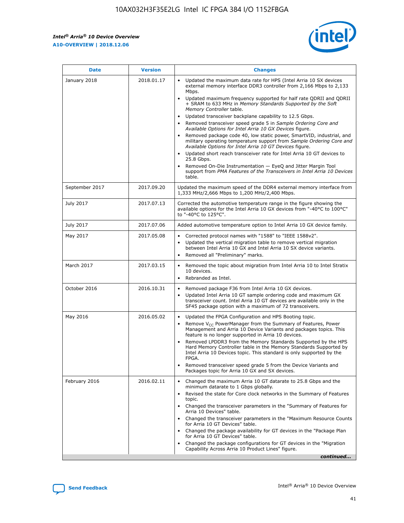*Intel® Arria® 10 Device Overview* **A10-OVERVIEW | 2018.12.06**



| <b>Date</b>    | <b>Version</b> | <b>Changes</b>                                                                                                                                                                                                                                                                                                                                                                                                                                                                                                                                                                                                                                                                                                                                                                                                                                                                                                                                                                         |
|----------------|----------------|----------------------------------------------------------------------------------------------------------------------------------------------------------------------------------------------------------------------------------------------------------------------------------------------------------------------------------------------------------------------------------------------------------------------------------------------------------------------------------------------------------------------------------------------------------------------------------------------------------------------------------------------------------------------------------------------------------------------------------------------------------------------------------------------------------------------------------------------------------------------------------------------------------------------------------------------------------------------------------------|
| January 2018   | 2018.01.17     | Updated the maximum data rate for HPS (Intel Arria 10 SX devices<br>external memory interface DDR3 controller from 2,166 Mbps to 2,133<br>Mbps.<br>Updated maximum frequency supported for half rate QDRII and QDRII<br>+ SRAM to 633 MHz in Memory Standards Supported by the Soft<br>Memory Controller table.<br>Updated transceiver backplane capability to 12.5 Gbps.<br>$\bullet$<br>Removed transceiver speed grade 5 in Sample Ordering Core and<br>$\bullet$<br>Available Options for Intel Arria 10 GX Devices figure.<br>Removed package code 40, low static power, SmartVID, industrial, and<br>military operating temperature support from Sample Ordering Core and<br>Available Options for Intel Arria 10 GT Devices figure.<br>Updated short reach transceiver rate for Intel Arria 10 GT devices to<br>25.8 Gbps.<br>Removed On-Die Instrumentation - EyeQ and Jitter Margin Tool<br>support from PMA Features of the Transceivers in Intel Arria 10 Devices<br>table. |
| September 2017 | 2017.09.20     | Updated the maximum speed of the DDR4 external memory interface from<br>1,333 MHz/2,666 Mbps to 1,200 MHz/2,400 Mbps.                                                                                                                                                                                                                                                                                                                                                                                                                                                                                                                                                                                                                                                                                                                                                                                                                                                                  |
| July 2017      | 2017.07.13     | Corrected the automotive temperature range in the figure showing the<br>available options for the Intel Arria 10 GX devices from "-40°C to 100°C"<br>to "-40°C to 125°C".                                                                                                                                                                                                                                                                                                                                                                                                                                                                                                                                                                                                                                                                                                                                                                                                              |
| July 2017      | 2017.07.06     | Added automotive temperature option to Intel Arria 10 GX device family.                                                                                                                                                                                                                                                                                                                                                                                                                                                                                                                                                                                                                                                                                                                                                                                                                                                                                                                |
| May 2017       | 2017.05.08     | Corrected protocol names with "1588" to "IEEE 1588v2".<br>$\bullet$<br>Updated the vertical migration table to remove vertical migration<br>$\bullet$<br>between Intel Arria 10 GX and Intel Arria 10 SX device variants.<br>Removed all "Preliminary" marks.<br>$\bullet$                                                                                                                                                                                                                                                                                                                                                                                                                                                                                                                                                                                                                                                                                                             |
| March 2017     | 2017.03.15     | Removed the topic about migration from Intel Arria 10 to Intel Stratix<br>$\bullet$<br>10 devices.<br>Rebranded as Intel.<br>$\bullet$                                                                                                                                                                                                                                                                                                                                                                                                                                                                                                                                                                                                                                                                                                                                                                                                                                                 |
| October 2016   | 2016.10.31     | Removed package F36 from Intel Arria 10 GX devices.<br>Updated Intel Arria 10 GT sample ordering code and maximum GX<br>$\bullet$<br>transceiver count. Intel Arria 10 GT devices are available only in the<br>SF45 package option with a maximum of 72 transceivers.                                                                                                                                                                                                                                                                                                                                                                                                                                                                                                                                                                                                                                                                                                                  |
| May 2016       | 2016.05.02     | Updated the FPGA Configuration and HPS Booting topic.<br>$\bullet$<br>Remove V <sub>CC</sub> PowerManager from the Summary of Features, Power<br>Management and Arria 10 Device Variants and packages topics. This<br>feature is no longer supported in Arria 10 devices.<br>Removed LPDDR3 from the Memory Standards Supported by the HPS<br>Hard Memory Controller table in the Memory Standards Supported by<br>Intel Arria 10 Devices topic. This standard is only supported by the<br>FPGA.<br>Removed transceiver speed grade 5 from the Device Variants and<br>Packages topic for Arria 10 GX and SX devices.                                                                                                                                                                                                                                                                                                                                                                   |
| February 2016  | 2016.02.11     | Changed the maximum Arria 10 GT datarate to 25.8 Gbps and the<br>minimum datarate to 1 Gbps globally.<br>Revised the state for Core clock networks in the Summary of Features<br>$\bullet$<br>topic.<br>Changed the transceiver parameters in the "Summary of Features for<br>$\bullet$<br>Arria 10 Devices" table.<br>• Changed the transceiver parameters in the "Maximum Resource Counts<br>for Arria 10 GT Devices" table.<br>Changed the package availability for GT devices in the "Package Plan<br>for Arria 10 GT Devices" table.<br>Changed the package configurations for GT devices in the "Migration"<br>Capability Across Arria 10 Product Lines" figure.<br>continued                                                                                                                                                                                                                                                                                                    |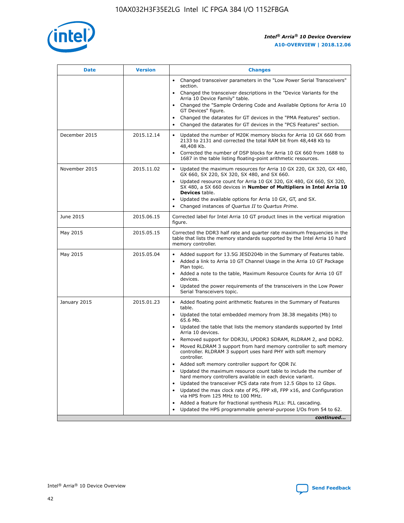

| <b>Date</b>   | <b>Version</b> | <b>Changes</b>                                                                                                                                                               |
|---------------|----------------|------------------------------------------------------------------------------------------------------------------------------------------------------------------------------|
|               |                | • Changed transceiver parameters in the "Low Power Serial Transceivers"<br>section.                                                                                          |
|               |                | • Changed the transceiver descriptions in the "Device Variants for the<br>Arria 10 Device Family" table.                                                                     |
|               |                | Changed the "Sample Ordering Code and Available Options for Arria 10<br>$\bullet$<br>GT Devices" figure.                                                                     |
|               |                | Changed the datarates for GT devices in the "PMA Features" section.                                                                                                          |
|               |                | Changed the datarates for GT devices in the "PCS Features" section.<br>$\bullet$                                                                                             |
| December 2015 | 2015.12.14     | Updated the number of M20K memory blocks for Arria 10 GX 660 from<br>2133 to 2131 and corrected the total RAM bit from 48,448 Kb to<br>48,408 Kb.                            |
|               |                | Corrected the number of DSP blocks for Arria 10 GX 660 from 1688 to<br>1687 in the table listing floating-point arithmetic resources.                                        |
| November 2015 | 2015.11.02     | Updated the maximum resources for Arria 10 GX 220, GX 320, GX 480,<br>$\bullet$<br>GX 660, SX 220, SX 320, SX 480, and SX 660.                                               |
|               |                | • Updated resource count for Arria 10 GX 320, GX 480, GX 660, SX 320,<br>SX 480, a SX 660 devices in Number of Multipliers in Intel Arria 10<br><b>Devices</b> table.        |
|               |                | Updated the available options for Arria 10 GX, GT, and SX.                                                                                                                   |
|               |                | Changed instances of Quartus II to Quartus Prime.<br>$\bullet$                                                                                                               |
| June 2015     | 2015.06.15     | Corrected label for Intel Arria 10 GT product lines in the vertical migration<br>figure.                                                                                     |
| May 2015      | 2015.05.15     | Corrected the DDR3 half rate and quarter rate maximum frequencies in the<br>table that lists the memory standards supported by the Intel Arria 10 hard<br>memory controller. |
| May 2015      | 2015.05.04     | • Added support for 13.5G JESD204b in the Summary of Features table.                                                                                                         |
|               |                | • Added a link to Arria 10 GT Channel Usage in the Arria 10 GT Package<br>Plan topic.                                                                                        |
|               |                | • Added a note to the table, Maximum Resource Counts for Arria 10 GT<br>devices.                                                                                             |
|               |                | • Updated the power requirements of the transceivers in the Low Power<br>Serial Transceivers topic.                                                                          |
| January 2015  | 2015.01.23     | • Added floating point arithmetic features in the Summary of Features<br>table.                                                                                              |
|               |                | • Updated the total embedded memory from 38.38 megabits (Mb) to<br>65.6 Mb.                                                                                                  |
|               |                | • Updated the table that lists the memory standards supported by Intel<br>Arria 10 devices.                                                                                  |
|               |                | Removed support for DDR3U, LPDDR3 SDRAM, RLDRAM 2, and DDR2.                                                                                                                 |
|               |                | Moved RLDRAM 3 support from hard memory controller to soft memory<br>controller. RLDRAM 3 support uses hard PHY with soft memory<br>controller.                              |
|               |                | Added soft memory controller support for QDR IV.<br>٠                                                                                                                        |
|               |                | Updated the maximum resource count table to include the number of<br>hard memory controllers available in each device variant.                                               |
|               |                | Updated the transceiver PCS data rate from 12.5 Gbps to 12 Gbps.<br>$\bullet$                                                                                                |
|               |                | Updated the max clock rate of PS, FPP x8, FPP x16, and Configuration<br>via HPS from 125 MHz to 100 MHz.                                                                     |
|               |                | Added a feature for fractional synthesis PLLs: PLL cascading.                                                                                                                |
|               |                | Updated the HPS programmable general-purpose I/Os from 54 to 62.<br>$\bullet$                                                                                                |
|               |                | continued                                                                                                                                                                    |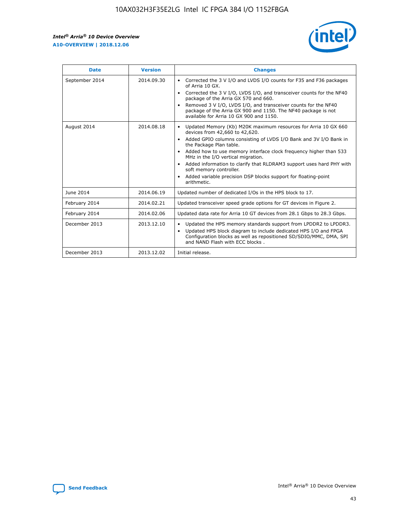r



| <b>Date</b>    | <b>Version</b> | <b>Changes</b>                                                                                                                                                                                                                                                                                                                                                                                                                                                                                                                                      |
|----------------|----------------|-----------------------------------------------------------------------------------------------------------------------------------------------------------------------------------------------------------------------------------------------------------------------------------------------------------------------------------------------------------------------------------------------------------------------------------------------------------------------------------------------------------------------------------------------------|
| September 2014 | 2014.09.30     | Corrected the 3 V I/O and LVDS I/O counts for F35 and F36 packages<br>$\bullet$<br>of Arria 10 GX.<br>Corrected the 3 V I/O, LVDS I/O, and transceiver counts for the NF40<br>$\bullet$<br>package of the Arria GX 570 and 660.<br>Removed 3 V I/O, LVDS I/O, and transceiver counts for the NF40<br>package of the Arria GX 900 and 1150. The NF40 package is not<br>available for Arria 10 GX 900 and 1150.                                                                                                                                       |
| August 2014    | 2014.08.18     | Updated Memory (Kb) M20K maximum resources for Arria 10 GX 660<br>devices from 42,660 to 42,620.<br>Added GPIO columns consisting of LVDS I/O Bank and 3V I/O Bank in<br>$\bullet$<br>the Package Plan table.<br>Added how to use memory interface clock frequency higher than 533<br>$\bullet$<br>MHz in the I/O vertical migration.<br>Added information to clarify that RLDRAM3 support uses hard PHY with<br>$\bullet$<br>soft memory controller.<br>Added variable precision DSP blocks support for floating-point<br>$\bullet$<br>arithmetic. |
| June 2014      | 2014.06.19     | Updated number of dedicated I/Os in the HPS block to 17.                                                                                                                                                                                                                                                                                                                                                                                                                                                                                            |
| February 2014  | 2014.02.21     | Updated transceiver speed grade options for GT devices in Figure 2.                                                                                                                                                                                                                                                                                                                                                                                                                                                                                 |
| February 2014  | 2014.02.06     | Updated data rate for Arria 10 GT devices from 28.1 Gbps to 28.3 Gbps.                                                                                                                                                                                                                                                                                                                                                                                                                                                                              |
| December 2013  | 2013.12.10     | Updated the HPS memory standards support from LPDDR2 to LPDDR3.<br>Updated HPS block diagram to include dedicated HPS I/O and FPGA<br>$\bullet$<br>Configuration blocks as well as repositioned SD/SDIO/MMC, DMA, SPI<br>and NAND Flash with ECC blocks.                                                                                                                                                                                                                                                                                            |
| December 2013  | 2013.12.02     | Initial release.                                                                                                                                                                                                                                                                                                                                                                                                                                                                                                                                    |